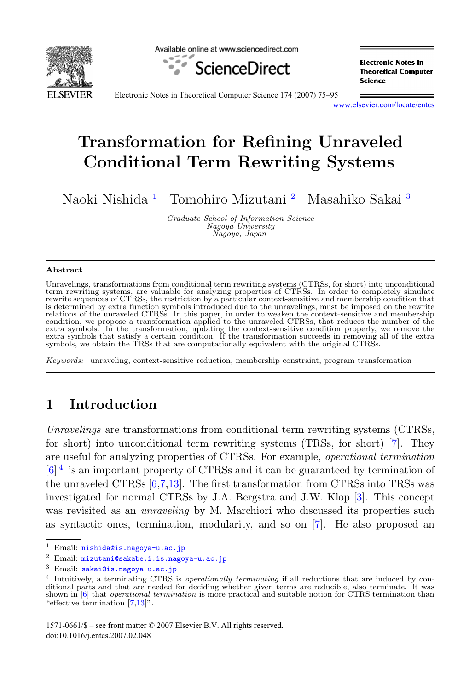<span id="page-0-0"></span>

Available online at www.sciencedirect.com



**Electronic Notes in Theoretical Computer** Science

Electronic Notes in Theoretical Computer Science 174 (2007) 75–95

[www.elsevier.com/locate/entcs](http://www.elsevier.com/locate/entcs)

# **Transformation for Refining Unraveled Conditional Term Rewriting Systems**

Naoki Nishida <sup>1</sup> Tomohiro Mizutani <sup>2</sup> Masahiko Sakai <sup>3</sup>

Graduate School of Information Science Nagoya University Nagoya, Japan

#### **Abstract**

Unravelings, transformations from conditional term rewriting systems (CTRSs, for short) into unconditional term rewriting systems, are valuable for analyzing properties of CTRSs. In order to completely simulate rewrite sequences of CTRSs, the restriction by a particular context-sensitive and membership condition that is determined by extra function symbols introduced due to the unravelings, must be imposed on the rewrite relations of the unraveled CTRSs. In this paper, in order to weaken the context-sensitive and membership condition, we propose a transformation applied to the unraveled CTRSs, that reduces the number of the extra symbols. In the transformation, updating the context-sensitive condition properly, we remove the extra symbols that satisfy a certain condition. If the transformation succeeds in removing all of the extra symbols, we obtain the TRSs that are computationally equivalent with the original CTRSs.

Keywords: unraveling, context-sensitive reduction, membership constraint, program transformation

# **1 Introduction**

Unravelings are transformations from conditional term rewriting systems (CTRSs, for short) into unconditional term rewriting systems (TRSs, for short) [\[7\]](#page-20-0). They are useful for analyzing properties of CTRSs. For example, operational termination  $[6]^4$  $[6]^4$  is an important property of CTRSs and it can be guaranteed by termination of the unraveled CTRSs [\[6,7,13\]](#page-20-0). The first transformation from CTRSs into TRSs was investigated for normal CTRSs by J.A. Bergstra and J.W. Klop [\[3\]](#page-20-0). This concept was revisited as an *unraveling* by M. Marchiori who discussed its properties such as syntactic ones, termination, modularity, and so on [\[7\]](#page-20-0). He also proposed an

<sup>&</sup>lt;sup>1</sup> Email:  $nishida@is.nagoya-u.ac.jp$ 

<sup>2</sup> Email: [mizutani@sakabe.i.is.nagoya-u.ac.jp](mailto:mizutani@sakabe.i.is.nagoya-u.ac.jp)

<sup>3</sup> Email: [sakai@is.nagoya-u.ac.jp](mailto:sakai@is.nagoya-u.ac.jp)

<sup>4</sup> Intuitively, a terminating CTRS is operationally terminating if all reductions that are induced by con-ditional parts and that are needed for deciding whether given terms are reducible, also terminate. It was<br>shown in [\[6\]](#page-20-0) that *operational termination* is more practical and suitable notion for CTRS termination than "effective termination [\[7,13\]](#page-20-0)".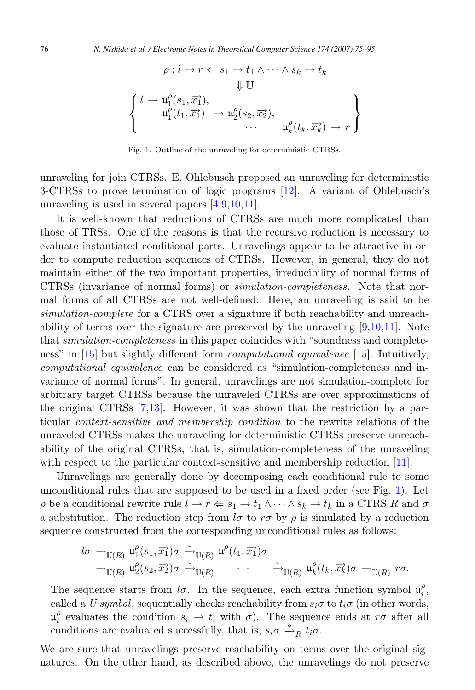$$
\rho: l \to r \Leftarrow s_1 \to t_1 \land \cdots \land s_k \to t_k
$$
  

$$
\Downarrow \mathbb{U}
$$
  

$$
\left\{ \begin{array}{l} l \to \mathfrak{u}_1^{\rho}(s_1, \overline{x_1}), \\ \mathfrak{u}_1^{\rho}(t_1, \overline{x_1}) \to \mathfrak{u}_2^{\rho}(s_2, \overline{x_2}), \\ \cdots \qquad \mathfrak{u}_k^{\rho}(t_k, \overline{x_k}) \to r \end{array} \right\}
$$

Fig. 1. Outline of the unraveling for deterministic CTRSs.

unraveling for join CTRSs. E. Ohlebusch proposed an unraveling for deterministic 3-CTRSs to prove termination of logic programs [\[12\]](#page-20-0). A variant of Ohlebusch's unraveling is used in several papers  $[4,9,10,11]$ .

It is well-known that reductions of CTRSs are much more complicated than those of TRSs. One of the reasons is that the recursive reduction is necessary to evaluate instantiated conditional parts. Unravelings appear to be attractive in order to compute reduction sequences of CTRSs. However, in general, they do not maintain either of the two important properties, irreducibility of normal forms of CTRSs (invariance of normal forms) or simulation-completeness. Note that normal forms of all CTRSs are not well-defined. Here, an unraveling is said to be simulation-complete for a CTRS over a signature if both reachability and unreachability of terms over the signature are preserved by the unraveling  $[9,10,11]$ . Note that *simulation-completeness* in this paper coincides with "soundness and completeness" in [\[15\]](#page-20-0) but slightly different form computational equivalence [\[15\]](#page-20-0). Intuitively, computational equivalence can be considered as "simulation-completeness and invariance of normal forms". In general, unravelings are not simulation-complete for arbitrary target CTRSs because the unraveled CTRSs are over approximations of the original CTRSs [\[7,13\]](#page-20-0). However, it was shown that the restriction by a particular context-sensitive and membership condition to the rewrite relations of the unraveled CTRSs makes the unraveling for deterministic CTRSs preserve unreachability of the original CTRSs, that is, simulation-completeness of the unraveling with respect to the particular context-sensitive and membership reduction [\[11\]](#page-20-0).

Unravelings are generally done by decomposing each conditional rule to some unconditional rules that are supposed to be used in a fixed order (see Fig. 1). Let  $\rho$  be a conditional rewrite rule  $l \to r \Leftarrow s_1 \to t_1 \land \cdots \land s_k \to t_k$  in a CTRS R and  $\sigma$ a substitution. The reduction step from  $l\sigma$  to  $r\sigma$  by  $\rho$  is simulated by a reduction sequence constructed from the corresponding unconditional rules as follows:

$$
\begin{array}{ccccc}\n\downarrow_{\mathbb{U}(R)} & \mathfrak{u}_{1}^{\rho}(s_{1},\overrightarrow{x_{1}})\sigma \xrightarrow{\ast}_{\mathbb{U}(R)} & \mathfrak{u}_{1}^{\rho}(t_{1},\overrightarrow{x_{1}})\sigma \\
\longrightarrow_{\mathbb{U}(R)} & \mathfrak{u}_{2}^{\rho}(s_{2},\overrightarrow{x_{2}})\sigma \xrightarrow{\ast}_{\mathbb{U}(R)} & \cdots & \xrightarrow{\ast}_{\mathbb{U}(R)} & \mathfrak{u}_{k}^{\rho}(t_{k},\overrightarrow{x_{k}})\sigma \xrightarrow{\rightarrow}_{\mathbb{U}(R)} & r\sigma.\n\end{array}
$$

The sequence starts from  $l\sigma$ . In the sequence, each extra function symbol  $\mathfrak{u}_i^{\rho}$ , called a U symbol, sequentially checks reachability from  $s_i\sigma$  to  $t_i\sigma$  (in other words,  $\mathfrak{u}_i^{\rho}$  evaluates the condition  $s_i \to t_i$  with  $\sigma$ ). The sequence ends at  $r\sigma$  after all conditions are evaluated successfully, that is,  $s_i \sigma \stackrel{*}{\rightarrow}_R t_i \sigma$ .

We are sure that unravelings preserve reachability on terms over the original signatures. On the other hand, as described above, the unravelings do not preserve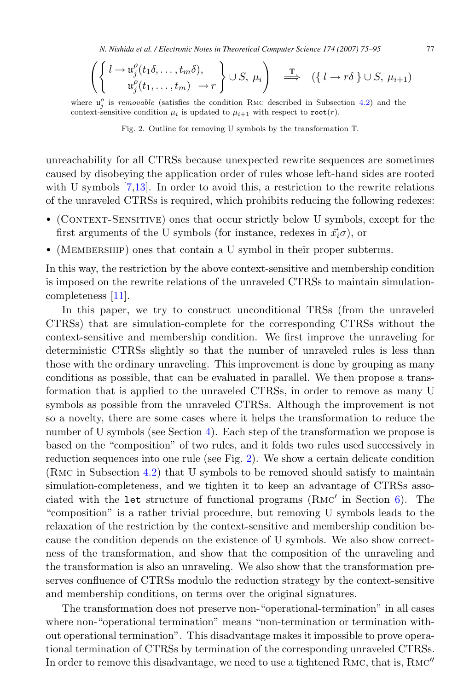*N. Nishida et al. / Electronic Notes in Theoretical Computer Science 174 (2007) 75–95* 77

<span id="page-2-0"></span>
$$
\left(\left\{\n\begin{array}{c}\n l \to \mathfrak{u}_j^{\rho}(t_1 \delta, \ldots, t_m \delta), \\
 \mathfrak{u}_j^{\rho}(t_1, \ldots, t_m) \to r\n\end{array}\n\right\} \cup S, \mu_i\n\right) \stackrel{\mathbb{T}}{\Longrightarrow} (\left\{\n\begin{array}{c}\n l \to r \delta\n\end{array}\n\right\} \cup S, \mu_{i+1})
$$

where  $u_j^{\rho}$  is *removable* (satisfies the condition RMC described in Subsection [4.2\)](#page-10-0) and the context-sensitive condition  $\mu_i$  is updated to  $\mu_{i+1}$  with respect to root(*r*).

Fig. 2. Outline for removing U symbols by the transformation T.

unreachability for all CTRSs because unexpected rewrite sequences are sometimes caused by disobeying the application order of rules whose left-hand sides are rooted with U symbols [\[7,13\]](#page-20-0). In order to avoid this, a restriction to the rewrite relations of the unraveled CTRSs is required, which prohibits reducing the following redexes:

- (CONTEXT-SENSITIVE) ones that occur strictly below U symbols, except for the first arguments of the U symbols (for instance, redexes in  $\vec{x_i}\sigma$ ), or
- (MEMBERSHIP) ones that contain a U symbol in their proper subterms.

In this way, the restriction by the above context-sensitive and membership condition is imposed on the rewrite relations of the unraveled CTRSs to maintain simulationcompleteness [\[11\]](#page-20-0).

In this paper, we try to construct unconditional TRSs (from the unraveled CTRSs) that are simulation-complete for the corresponding CTRSs without the context-sensitive and membership condition. We first improve the unraveling for deterministic CTRSs slightly so that the number of unraveled rules is less than those with the ordinary unraveling. This improvement is done by grouping as many conditions as possible, that can be evaluated in parallel. We then propose a transformation that is applied to the unraveled CTRSs, in order to remove as many U symbols as possible from the unraveled CTRSs. Although the improvement is not so a novelty, there are some cases where it helps the transformation to reduce the number of U symbols (see Section [4\)](#page-9-0). Each step of the transformation we propose is based on the "composition" of two rules, and it folds two rules used successively in reduction sequences into one rule (see Fig. 2). We show a certain delicate condition (Rmc in Subsection [4.2\)](#page-10-0) that U symbols to be removed should satisfy to maintain simulation-completeness, and we tighten it to keep an advantage of CTRSs associated with the let structure of functional programs  $(RMC'$  in Section [6\)](#page-16-0). The "composition" is a rather trivial procedure, but removing U symbols leads to the relaxation of the restriction by the context-sensitive and membership condition because the condition depends on the existence of U symbols. We also show correctness of the transformation, and show that the composition of the unraveling and the transformation is also an unraveling. We also show that the transformation preserves confluence of CTRSs modulo the reduction strategy by the context-sensitive and membership conditions, on terms over the original signatures.

The transformation does not preserve non-"operational-termination" in all cases where non-"operational termination" means "non-termination or termination without operational termination". This disadvantage makes it impossible to prove operational termination of CTRSs by termination of the corresponding unraveled CTRSs. In order to remove this disadvantage, we need to use a tightened RMC, that is, RMC"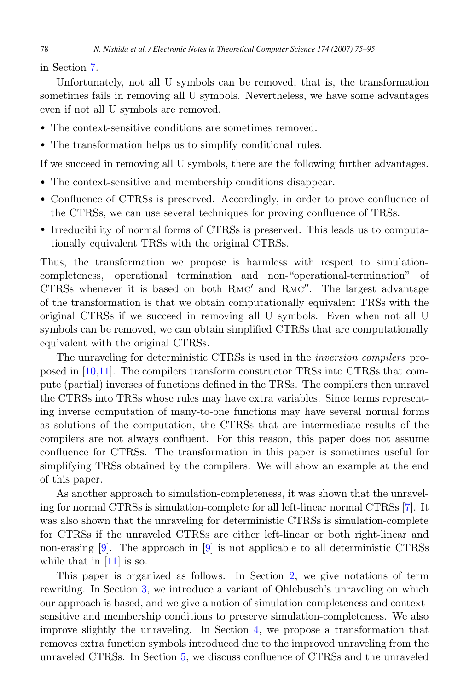in Section [7.](#page-17-0)

Unfortunately, not all U symbols can be removed, that is, the transformation sometimes fails in removing all U symbols. Nevertheless, we have some advantages even if not all U symbols are removed.

- The context-sensitive conditions are sometimes removed.
- The transformation helps us to simplify conditional rules.

If we succeed in removing all U symbols, there are the following further advantages.

- The context-sensitive and membership conditions disappear.
- Confluence of CTRSs is preserved. Accordingly, in order to prove confluence of the CTRSs, we can use several techniques for proving confluence of TRSs.
- Irreducibility of normal forms of CTRSs is preserved. This leads us to computationally equivalent TRSs with the original CTRSs.

Thus, the transformation we propose is harmless with respect to simulationcompleteness, operational termination and non-"operational-termination" of CTRSs whenever it is based on both  $RMC'$  and  $RMC''$ . The largest advantage of the transformation is that we obtain computationally equivalent TRSs with the original CTRSs if we succeed in removing all U symbols. Even when not all U symbols can be removed, we can obtain simplified CTRSs that are computationally equivalent with the original CTRSs.

The unraveling for deterministic CTRSs is used in the inversion compilers proposed in [\[10,11\]](#page-20-0). The compilers transform constructor TRSs into CTRSs that compute (partial) inverses of functions defined in the TRSs. The compilers then unravel the CTRSs into TRSs whose rules may have extra variables. Since terms representing inverse computation of many-to-one functions may have several normal forms as solutions of the computation, the CTRSs that are intermediate results of the compilers are not always confluent. For this reason, this paper does not assume confluence for CTRSs. The transformation in this paper is sometimes useful for simplifying TRSs obtained by the compilers. We will show an example at the end of this paper.

As another approach to simulation-completeness, it was shown that the unraveling for normal CTRSs is simulation-complete for all left-linear normal CTRSs [\[7\]](#page-20-0). It was also shown that the unraveling for deterministic CTRSs is simulation-complete for CTRSs if the unraveled CTRSs are either left-linear or both right-linear and non-erasing [\[9\]](#page-20-0). The approach in [\[9\]](#page-20-0) is not applicable to all deterministic CTRSs while that in  $[11]$  is so.

This paper is organized as follows. In Section [2,](#page-4-0) we give notations of term rewriting. In Section [3,](#page-5-0) we introduce a variant of Ohlebusch's unraveling on which our approach is based, and we give a notion of simulation-completeness and contextsensitive and membership conditions to preserve simulation-completeness. We also improve slightly the unraveling. In Section [4,](#page-9-0) we propose a transformation that removes extra function symbols introduced due to the improved unraveling from the unraveled CTRSs. In Section [5,](#page-14-0) we discuss confluence of CTRSs and the unraveled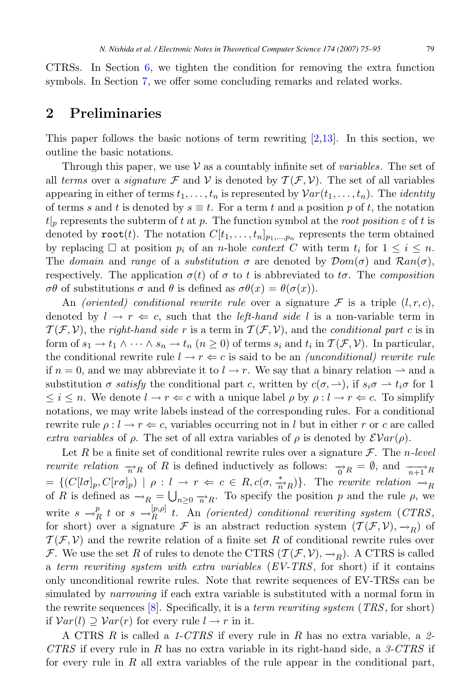<span id="page-4-0"></span>CTRSs. In Section  $6$ , we tighten the condition for removing the extra function symbols. In Section [7,](#page-17-0) we offer some concluding remarks and related works.

### **2 Preliminaries**

This paper follows the basic notions of term rewriting  $[2,13]$ . In this section, we outline the basic notations.

Through this paper, we use  $\mathcal V$  as a countably infinite set of *variables*. The set of all terms over a signature F and V is denoted by  $T(\mathcal{F}, \mathcal{V})$ . The set of all variables appearing in either of terms  $t_1, \ldots, t_n$  is represented by  $Var(t_1, \ldots, t_n)$ . The *identity* of terms s and t is denoted by  $s \equiv t$ . For a term t and a position p of t, the notation  $t|_p$  represents the subterm of t at p. The function symbol at the root position  $\varepsilon$  of t is denoted by root(t). The notation  $C[t_1,\ldots,t_n]_{p_1,\ldots,p_n}$  represents the term obtained by replacing  $\Box$  at position  $p_i$  of an *n*-hole *context* C with term  $t_i$  for  $1 \leq i \leq n$ . The domain and range of a substitution  $\sigma$  are denoted by  $\mathcal{D}om(\sigma)$  and  $\mathcal{R}an(\sigma)$ , respectively. The application  $\sigma(t)$  of  $\sigma$  to t is abbreviated to t $\sigma$ . The *composition*  $\sigma\theta$  of substitutions  $\sigma$  and  $\theta$  is defined as  $\sigma\theta(x) = \theta(\sigma(x)).$ 

An (oriented) conditional rewrite rule over a signature  $\mathcal F$  is a triple  $(l, r, c)$ , denoted by  $l \to r \Leftrightarrow c$ , such that the *left-hand side l* is a non-variable term in  $T(F, V)$ , the right-hand side r is a term in  $T(F, V)$ , and the conditional part c is in form of  $s_1 \to t_1 \land \cdots \land s_n \to t_n$   $(n \geq 0)$  of terms  $s_i$  and  $t_i$  in  $\mathcal{T}(\mathcal{F}, \mathcal{V})$ . In particular, the conditional rewrite rule  $l \to r \Leftrightarrow c$  is said to be an *(unconditional) rewrite rule* if  $n = 0$ , and we may abbreviate it to  $l \to r$ . We say that a binary relation  $\to$  and a substitution  $\sigma$  satisfy the conditional part c, written by  $c(\sigma, \rightharpoonup)$ , if  $s_i\sigma \rightharpoonup t_i\sigma$  for 1  $\leq i \leq n$ . We denote  $l \to r \Leftarrow c$  with a unique label  $\rho$  by  $\rho: l \to r \Leftarrow c$ . To simplify notations, we may write labels instead of the corresponding rules. For a conditional rewrite rule  $\rho: l \to r \Leftrightarrow c$ , variables occurring not in l but in either r or c are called extra variables of  $\rho$ . The set of all extra variables of  $\rho$  is denoted by  $\mathcal{E}Var(\rho)$ .

Let R be a finite set of conditional rewrite rules over a signature  $\mathcal{F}$ . The *n*-level rewrite relation  $\overrightarrow{n}$  of R is defined inductively as follows:  $\overrightarrow{0}$  R =  $\emptyset$ , and  $\overrightarrow{n+1}$  $= \{ (C[l\sigma]_p, C[r\sigma]_p) \mid \rho : l \rightarrow r \Leftarrow c \in R, c(\sigma, \frac{*}{n}R) \}.$  The rewrite relation  $\rightarrow_R$ of R is defined as  $\rightarrow_R = \bigcup_{n\geq 0} \frac{1}{n} R$ . To specify the position p and the rule  $\rho$ , we write  $s \rightarrow_R^p t$  or  $s \rightarrow_R^{[p,\rho]} t$ . An (oriented) conditional rewriting system (CTRS, for short) over a signature F is an abstract reduction system  $(\mathcal{T}(\mathcal{F}, \mathcal{V}), \rightarrow_R)$  of  $\mathcal{T}(\mathcal{F}, \mathcal{V})$  and the rewrite relation of a finite set R of conditional rewrite rules over F. We use the set R of rules to denote the CTRS  $(\mathcal{T}(\mathcal{F}, \mathcal{V}), \rightarrow_R)$ . A CTRS is called a term rewriting system with extra variables  $(EV-TRS, for short)$  if it contains only unconditional rewrite rules. Note that rewrite sequences of EV-TRSs can be simulated by narrowing if each extra variable is substituted with a normal form in the rewrite sequences  $[8]$ . Specifically, it is a term rewriting system (TRS, for short) if  $Var(l)$  ⊇  $Var(r)$  for every rule  $l \rightarrow r$  in it.

A CTRS R is called a 1-CTRS if every rule in R has no extra variable, a 2-CTRS if every rule in R has no extra variable in its right-hand side, a  $3$ -CTRS if for every rule in  $R$  all extra variables of the rule appear in the conditional part,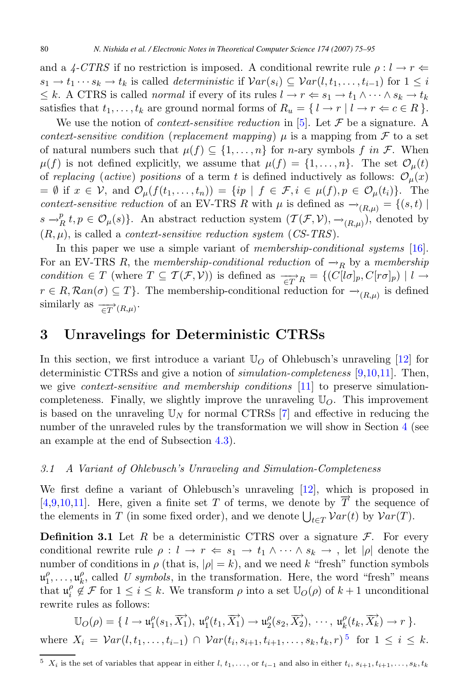<span id="page-5-0"></span>and a 4-CTRS if no restriction is imposed. A conditional rewrite rule  $\rho: l \to r \Leftarrow$  $s_1 \to t_1 \cdots s_k \to t_k$  is called *deterministic* if  $Var(s_i) \subseteq Var(l, t_1, \ldots, t_{i-1})$  for  $1 \leq i$  $\leq k$ . A CTRS is called *normal* if every of its rules  $l \to r \Leftarrow s_1 \to t_1 \land \cdots \land s_k \to t_k$ satisfies that  $t_1,\ldots,t_k$  are ground normal forms of  $R_u = \{l \rightarrow r \mid l \rightarrow r \Leftarrow c \in R\}.$ 

We use the notion of *context-sensitive reduction* in [\[5\]](#page-20-0). Let  $\mathcal F$  be a signature. A context-sensitive condition (replacement mapping)  $\mu$  is a mapping from  $\mathcal F$  to a set of natural numbers such that  $\mu(f) \subseteq \{1,\ldots,n\}$  for *n*-ary symbols f in F. When  $\mu(f)$  is not defined explicitly, we assume that  $\mu(f) = \{1, \ldots, n\}$ . The set  $\mathcal{O}_{\mu}(t)$ of replacing (active) positions of a term t is defined inductively as follows:  $\mathcal{O}_{\mu}(x)$  $=\emptyset$  if  $x \in V$ , and  $\mathcal{O}_{\mu}(f(t_1,\ldots,t_n)) = \{ip \mid f \in \mathcal{F}, i \in \mu(f), p \in \mathcal{O}_{\mu}(t_i)\}.$  The context-sensitive reduction of an EV-TRS R with  $\mu$  is defined as  $\rightarrow_{(R,\mu)}$  = {(s,t) |  $s \to_R^p t, p \in \mathcal{O}_\mu(s)$ . An abstract reduction system  $(\mathcal{T}(\mathcal{F}, \mathcal{V}), \to_{(R,\mu)})$ , denoted by  $(R, \mu)$ , is called a *context-sensitive reduction system* (CS-TRS).

In this paper we use a simple variant of membership-conditional systems [\[16\]](#page-20-0). For an EV-TRS R, the membership-conditional reduction of  $\rightarrow_R$  by a membership condition  $\in T$  (where  $T \subseteq T(\mathcal{F}, V)$ ) is defined as  $\overrightarrow{C_T}_R = \{ (C[l\sigma]_p, C[r\sigma]_p) \mid l \to$  $r \in R$ ,  $\mathcal{R}an(\sigma) \subseteq T$ . The membership-conditional reduction for  $\rightarrow_{(R,\mu)}$  is defined similarly as  $\longrightarrow_{\in T} (R,\mu)$ .

### **3 Unravelings for Deterministic CTRSs**

In this section, we first introduce a variant  $\mathbb{U}_O$  of Ohlebusch's unraveling [\[12\]](#page-20-0) for deterministic CTRSs and give a notion of simulation-completeness [\[9,10,11\]](#page-20-0). Then, we give *context-sensitive and membership conditions* [\[11\]](#page-20-0) to preserve simulationcompleteness. Finally, we slightly improve the unraveling  $\mathbb{U}_O$ . This improvement is based on the unraveling  $\mathbb{U}_N$  for normal CTRSs [\[7\]](#page-20-0) and effective in reducing the number of the unraveled rules by the transformation we will show in Section [4](#page-9-0) (see an example at the end of Subsection [4.3\)](#page-11-0).

#### 3.1 A Variant of Ohlebusch's Unraveling and Simulation-Completeness

We first define a variant of Ohlebusch's unraveling [\[12\]](#page-20-0), which is proposed in [\[4,9,10,11\]](#page-20-0). Here, given a finite set T of terms, we denote by  $\overrightarrow{T}$  the sequence of the elements in T (in some fixed order), and we denote  $\bigcup_{t\in T} \mathcal{V}ar(t)$  by  $\mathcal{V}ar(T)$ .

**Definition 3.1** Let R be a deterministic CTRS over a signature  $\mathcal{F}$ . For every conditional rewrite rule  $\rho: l \to r \Leftrightarrow s_1 \to t_1 \wedge \cdots \wedge s_k \to$ , let  $|\rho|$  denote the number of conditions in  $\rho$  (that is,  $|\rho| = k$ ), and we need k "fresh" function symbols  $\mathfrak{u}_1^{\rho}, \ldots, \mathfrak{u}_k^{\rho}$ , called U symbols, in the transformation. Here, the word "fresh" means that  $\mathfrak{u}_i^{\rho} \notin \mathcal{F}$  for  $1 \leq i \leq k$ . We transform  $\rho$  into a set  $\mathbb{U}_O(\rho)$  of  $k+1$  unconditional rewrite rules as follows:

$$
\mathbb{U}_O(\rho) = \{ l \to \mathfrak{u}_1^{\rho}(s_1, \overline{X}_1), \, \mathfrak{u}_1^{\rho}(t_1, \overline{X}_1) \to \mathfrak{u}_2^{\rho}(s_2, \overline{X}_2), \, \cdots, \, \mathfrak{u}_k^{\rho}(t_k, \overline{X}_k) \to r \}.
$$
\nwhere  $X_i = \mathcal{V}ar(l, t_1, \ldots, t_{i-1}) \cap \mathcal{V}ar(t_i, s_{i+1}, t_{i+1}, \ldots, s_k, t_k, r)^5$  for  $1 \leq i \leq k$ .

 $5\ X_i$  is the set of variables that appear in either l,  $t_1,\ldots$ , or  $t_{i-1}$  and also in either  $t_i, s_{i+1}, t_{i+1},\ldots,s_k, t_k$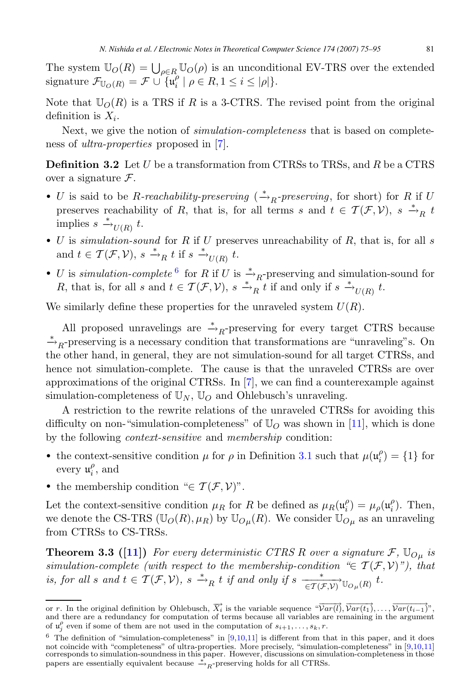<span id="page-6-0"></span>The system  $\mathbb{U}_O(R) = \bigcup_{\rho \in R} \mathbb{U}_O(\rho)$  is an unconditional EV-TRS over the extended signature  $\mathcal{F}_{\mathbb{U}_O(R)} = \mathcal{F} \cup \{\mathfrak{u}_i^{\rho} \mid \rho \in R, 1 \leq i \leq |\rho|\}.$ 

Note that  $\mathbb{U}_O(R)$  is a TRS if R is a 3-CTRS. The revised point from the original definition is  $X_i$ .

Next, we give the notion of *simulation-completeness* that is based on completeness of ultra-properties proposed in [\[7\]](#page-20-0).

**Definition 3.2** Let U be a transformation from CTRSs to TRSs, and R be a CTRS over a signature  $\mathcal{F}$ .

- U is said to be R-reachability-preserving  $(\stackrel{*}{\rightharpoonup}_R$ -preserving, for short) for R if U preserves reachability of R, that is, for all terms s and  $t \in \mathcal{T}(\mathcal{F}, \mathcal{V})$ , s  $\stackrel{*}{\rightarrow}_R t$ implies  $s \stackrel{*}{\rightarrow}_{U(R)} t$ .
- U is simulation-sound for R if U preserves unreachability of R, that is, for all  $s$ and  $t \in \mathcal{T}(\mathcal{F}, \mathcal{V}), s \stackrel{*}{\rightarrow}_R t \text{ if } s \stackrel{*}{\rightarrow}_{U(R)} t.$
- U is simulation-complete <sup>6</sup> for R if U is  $\stackrel{*}{\longrightarrow}_R$ -preserving and simulation-sound for R, that is, for all s and  $t \in \mathcal{T}(\mathcal{F}, \mathcal{V}), s \stackrel{*}{\to_R} t$  if and only if  $s \stackrel{*}{\to}_{U(R)} t$ .

We similarly define these properties for the unraveled system  $U(R)$ .

All proposed unravelings are  $\stackrel{*}{\rightarrow}_R$ -preserving for every target CTRS because ∗<br>\* preserving is a preservative specifical that transformations are "unraveling"s. On  $\stackrel{*}{\rightarrow}_R$ -preserving is a necessary condition that transformations are "unraveling"s. On the other hand, in general, they are not simulation-sound for all target CTRSs, and hence not simulation-complete. The cause is that the unraveled CTRSs are over approximations of the original CTRSs. In [\[7\]](#page-20-0), we can find a counterexample against simulation-completeness of  $\mathbb{U}_N$ ,  $\mathbb{U}_O$  and Ohlebusch's unraveling.

A restriction to the rewrite relations of the unraveled CTRSs for avoiding this difficulty on non-"simulation-completeness" of  $\mathbb{U}_Q$  was shown in [\[11\]](#page-20-0), which is done by the following context-sensitive and membership condition:

- the context-sensitive condition  $\mu$  for  $\rho$  in Definition [3.1](#page-5-0) such that  $\mu(\mathfrak{u}_i^{\rho}) = \{1\}$  for every  $\mathfrak{u}_i^{\rho}$ , and
- the membership condition " $\in \mathcal{T}(\mathcal{F}, \mathcal{V})$ ".

Let the context-sensitive condition  $\mu_R$  for R be defined as  $\mu_R(\mathfrak{u}_i^{\rho}) = \mu_{\rho}(\mathfrak{u}_i^{\rho})$ . Then, we denote the CS-TRS  $(\mathbb{U}_{\mathcal{O}}(R), \mu_R)$  by  $\mathbb{U}_{\mathcal{O}_{\mu}}(R)$ . We consider  $\mathbb{U}_{\mathcal{O}_{\mu}}$  as an unraveling from CTRSs to CS-TRSs.

**Theorem 3.3 ([\[11\]](#page-20-0))** For every deterministic CTRS R over a signature  $\mathcal{F}$ ,  $\mathbb{U}_{O\mu}$  is simulation-complete (with respect to the membership-condition " $\in \mathcal{T}(\mathcal{F}, \mathcal{V})$ "), that is, for all s and  $t \in \mathcal{T}(\mathcal{F}, \mathcal{V}), s \stackrel{*}{\to}_R t$  if and only if  $s \xrightarrow[\in \mathcal{T}(\mathcal{F}, \mathcal{V})]{} \mathbb{U}_{O\mu}(R)$  t.

or r. In the original definition by Ohlebusch,  $\overline{X}_i^*$  is the variable sequence  $\sqrt[n]{ar(l)}$ ,  $\overline{Var(t_1)}, \ldots, \overline{Var(t_{i-1})}$ ", and there are a redundancy for computation of terms because all variables are remaining in the argument of  $\mathfrak{u}_j^{\rho}$  even if some of them are not used in the computation of  $s_{i+1},\ldots,s_k,r$ .

 $6$  The definition of "simulation-completeness" in  $[9,10,11]$  is different from that in this paper, and it does not coincide with "completeness" of ultra-properties. More precisely, "simulation-completeness" in [\[9,10,11\]](#page-20-0) corresponds to simulation-soundness in this paper. However, discussions on simulation-completeness in those papers are essentially equivalent because  $\stackrel{*}{\to}_R$ -preserving holds for all CTRSs.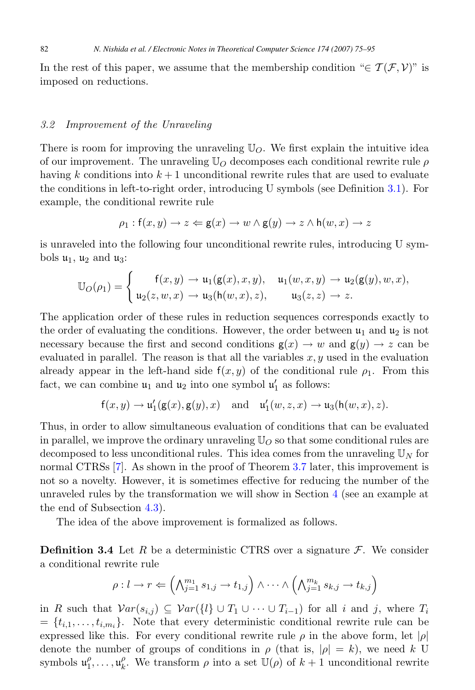<span id="page-7-0"></span>In the rest of this paper, we assume that the membership condition " $\in \mathcal{T}(\mathcal{F}, \mathcal{V})$ " is imposed on reductions.

#### 3.2 Improvement of the Unraveling

There is room for improving the unraveling  $\mathbb{U}_O$ . We first explain the intuitive idea of our improvement. The unraveling  $\mathbb{U}_O$  decomposes each conditional rewrite rule  $\rho$ having k conditions into  $k+1$  unconditional rewrite rules that are used to evaluate the conditions in left-to-right order, introducing U symbols (see Definition [3.1\)](#page-5-0). For example, the conditional rewrite rule

$$
\rho_1: \mathsf{f}(x, y) \to z \Leftarrow \mathsf{g}(x) \to w \land \mathsf{g}(y) \to z \land \mathsf{h}(w, x) \to z
$$

is unraveled into the following four unconditional rewrite rules, introducing U symbols  $\mathfrak{u}_1$ ,  $\mathfrak{u}_2$  and  $\mathfrak{u}_3$ :

$$
\mathbb{U}_{O}(\rho_{1}) = \begin{cases} f(x,y) \to \mathfrak{u}_{1}(g(x),x,y), & \mathfrak{u}_{1}(w,x,y) \to \mathfrak{u}_{2}(g(y),w,x), \\ \mathfrak{u}_{2}(z,w,x) \to \mathfrak{u}_{3}(\mathsf{h}(w,x),z), & \mathfrak{u}_{3}(z,z) \to z. \end{cases}
$$

The application order of these rules in reduction sequences corresponds exactly to the order of evaluating the conditions. However, the order between  $\mathfrak{u}_1$  and  $\mathfrak{u}_2$  is not necessary because the first and second conditions  $g(x) \to w$  and  $g(y) \to z$  can be evaluated in parallel. The reason is that all the variables  $x, y$  used in the evaluation already appear in the left-hand side  $f(x, y)$  of the conditional rule  $\rho_1$ . From this fact, we can combine  $\mathfrak{u}_1$  and  $\mathfrak{u}_2$  into one symbol  $\mathfrak{u}'_1$  as follows:

$$
\mathsf{f}(x,y) \to \mathsf{u}'_1(\mathsf{g}(x),\mathsf{g}(y),x) \quad \text{and} \quad \mathsf{u}'_1(w,z,x) \to \mathsf{u}_3(\mathsf{h}(w,x),z).
$$

Thus, in order to allow simultaneous evaluation of conditions that can be evaluated in parallel, we improve the ordinary unraveling  $\mathbb{U}_O$  so that some conditional rules are decomposed to less unconditional rules. This idea comes from the unraveling  $\mathbb{U}_N$  for normal CTRSs [\[7\]](#page-20-0). As shown in the proof of Theorem [3.7](#page-9-0) later, this improvement is not so a novelty. However, it is sometimes effective for reducing the number of the unraveled rules by the transformation we will show in Section [4](#page-9-0) (see an example at the end of Subsection [4.3\)](#page-11-0).

The idea of the above improvement is formalized as follows.

**Definition 3.4** Let R be a deterministic CTRS over a signature  $\mathcal{F}$ . We consider a conditional rewrite rule

$$
\rho: l \to r \Leftarrow \left(\bigwedge_{j=1}^{m_1} s_{1,j} \to t_{1,j}\right) \land \cdots \land \left(\bigwedge_{j=1}^{m_k} s_{k,j} \to t_{k,j}\right)
$$

in R such that  $Var(s_{i,j}) \subseteq Var({i} \cup T_1 \cup \cdots \cup T_{i-1})$  for all i and j, where  $T_i$  $= \{t_{i,1},\ldots,t_{i,m_i}\}.$  Note that every deterministic conditional rewrite rule can be expressed like this. For every conditional rewrite rule  $\rho$  in the above form, let  $|\rho|$ denote the number of groups of conditions in  $\rho$  (that is,  $|\rho| = k$ ), we need k U symbols  $\mathfrak{u}_1^{\rho}, \ldots, \mathfrak{u}_k^{\rho}$ . We transform  $\rho$  into a set  $\mathbb{U}(\rho)$  of  $k+1$  unconditional rewrite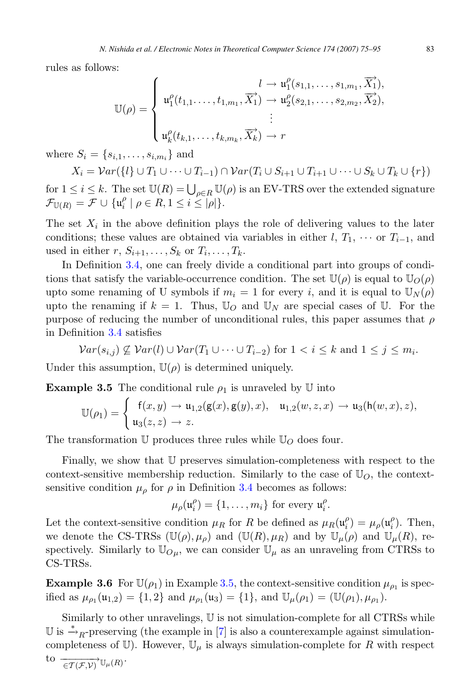<span id="page-8-0"></span>rules as follows:

$$
\mathbb{U}(\rho) = \begin{cases} l \to \mathfrak{u}_1^{\rho}(s_{1,1},\ldots,s_{1,m_1},\overrightarrow{X_1}), \\ \mathfrak{u}_1^{\rho}(t_{1,1},\ldots,t_{1,m_1},\overrightarrow{X_1}) \to \mathfrak{u}_2^{\rho}(s_{2,1},\ldots,s_{2,m_2},\overrightarrow{X_2}), \\ \vdots \\ \mathfrak{u}_k^{\rho}(t_{k,1},\ldots,t_{k,m_k},\overrightarrow{X_k}) \to r \end{cases}
$$

where  $S_i = \{s_{i,1}, \ldots, s_{i,m_i}\}\$  and

 $X_i = Var({i} \cup T_1 \cup \cdots \cup T_{i-1}) \cap Var(T_i \cup S_{i+1} \cup T_{i+1} \cup \cdots \cup S_k \cup T_k \cup {r})$ 

for  $1 \leq i \leq k$ . The set  $\mathbb{U}(R) = \bigcup_{\rho \in R} \mathbb{U}(\rho)$  is an EV-TRS over the extended signature  $\mathcal{F}_{\mathbb{U}(R)} = \mathcal{F} \cup \{ \mathfrak{u}_i^{\rho} \mid \rho \in R, 1 \leq i \leq |\rho| \}.$ 

The set  $X_i$  in the above definition plays the role of delivering values to the later conditions; these values are obtained via variables in either  $l, T_1, \cdots$  or  $T_{i-1}$ , and used in either  $r, S_{i+1}, \ldots, S_k$  or  $T_i, \ldots, T_k$ .

In Definition [3.4,](#page-7-0) one can freely divide a conditional part into groups of conditions that satisfy the variable-occurrence condition. The set  $\mathbb{U}(\rho)$  is equal to  $\mathbb{U}_O(\rho)$ upto some renaming of U symbols if  $m_i = 1$  for every i, and it is equal to  $\mathbb{U}_N(\rho)$ upto the renaming if  $k = 1$ . Thus,  $\mathbb{U}_O$  and  $\mathbb{U}_N$  are special cases of U. For the purpose of reducing the number of unconditional rules, this paper assumes that  $\rho$ in Definition [3.4](#page-7-0) satisfies

$$
Var(s_{i,j}) \not\subseteq Var(l) \cup Var(T_1 \cup \dots \cup T_{i-2}) \text{ for } 1 < i \leq k \text{ and } 1 \leq j \leq m_i.
$$

Under this assumption,  $\mathbb{U}(\rho)$  is determined uniquely.

**Example 3.5** The conditional rule  $\rho_1$  is unraveled by U into

$$
\mathbb{U}(\rho_1) = \begin{cases} f(x,y) \to \mathfrak{u}_{1,2}(\mathsf{g}(x),\mathsf{g}(y),x), & \mathfrak{u}_{1,2}(w,z,x) \to \mathfrak{u}_3(\mathsf{h}(w,x),z), \\ \mathfrak{u}_3(z,z) \to z. & \end{cases}
$$

The transformation  $\mathbb U$  produces three rules while  $\mathbb U_{\mathcal{O}}$  does four.

Finally, we show that U preserves simulation-completeness with respect to the context-sensitive membership reduction. Similarly to the case of  $\mathbb{U}_O$ , the contextsensitive condition  $\mu_{\rho}$  for  $\rho$  in Definition [3.4](#page-7-0) becomes as follows:

$$
\mu_{\rho}(\mathfrak{u}_i^{\rho}) = \{1, \ldots, m_i\} \text{ for every } \mathfrak{u}_i^{\rho}.
$$

Let the context-sensitive condition  $\mu_R$  for R be defined as  $\mu_R(\mathfrak{u}_i^{\rho}) = \mu_{\rho}(\mathfrak{u}_i^{\rho})$ . Then, we denote the CS-TRSs  $(\mathbb{U}(\rho), \mu_{\rho})$  and  $(\mathbb{U}(R), \mu_R)$  and by  $\mathbb{U}_{\mu}(\rho)$  and  $\mathbb{U}_{\mu}(R)$ , respectively. Similarly to  $\mathbb{U}_{\mathcal{O}_\mu}$ , we can consider  $\mathbb{U}_\mu$  as an unraveling from CTRSs to CS-TRSs.

**Example 3.6** For  $\mathbb{U}(\rho_1)$  in Example 3.5, the context-sensitive condition  $\mu_{\rho_1}$  is specified as  $\mu_{\rho_1}(\mathfrak{u}_{1,2}) = \{1,2\}$  and  $\mu_{\rho_1}(\mathfrak{u}_3) = \{1\}$ , and  $\mathbb{U}_{\mu}(\rho_1) = (\mathbb{U}(\rho_1), \mu_{\rho_1})$ .

Similarly to other unravelings, U is not simulation-complete for all CTRSs while U is  $\stackrel{*}{\rightarrow}_R$ -preserving (the example in [\[7\]](#page-20-0) is also a counterexample against simulationcompleteness of U). However,  $\mathbb{U}_{\mu}$  is always simulation-complete for R with respect to  $\overrightarrow{c_{\mathcal{I}}(\mathcal{F},\mathcal{V})} \mathbb{U}_{\mu}(R)$ .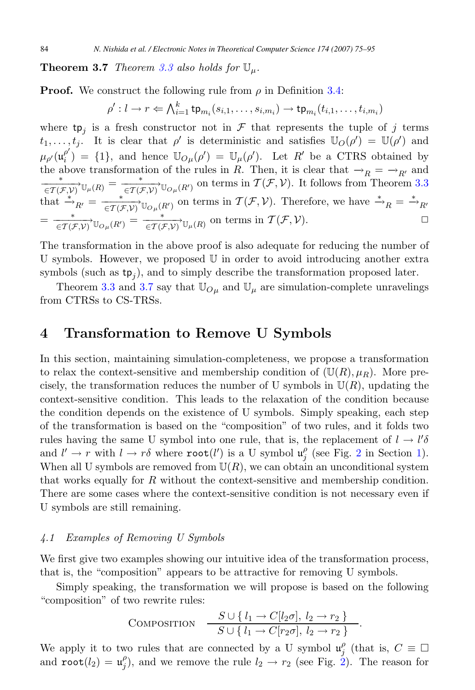<span id="page-9-0"></span>**Theorem 3.7** Theorem [3.3](#page-6-0) also holds for  $\mathbb{U}_u$ .

**Proof.** We construct the following rule from  $\rho$  in Definition [3.4:](#page-7-0)

$$
\rho': l \to r \Leftarrow \bigwedge_{i=1}^k \operatorname{\mathsf{tp}}_{m_i}(s_{i,1},\ldots,s_{i,m_i}) \to \operatorname{\mathsf{tp}}_{m_i}(t_{i,1},\ldots,t_{i,m_i})
$$

where  $tp_i$  is a fresh constructor not in  $\mathcal F$  that represents the tuple of j terms  $t_1,\ldots,t_j$ . It is clear that  $\rho'$  is deterministic and satisfies  $\mathbb{U}_O(\rho') = \mathbb{U}(\rho')$  and  $\mu_{\rho}(\mathfrak{u}_{i}^{\rho'}) = \{1\}$ , and hence  $\mathbb{U}_{\mathcal{O}\mu}(\rho') = \mathbb{U}_{\mu}(\rho')$ . Let R' be a CTRS obtained by the above transformation of the rules in R. Then, it is clear that  $\rightarrow_R = \rightarrow_{R'}$  and  $\frac{*}{\in T(\mathcal{F}, \mathcal{V})} \mathbb{U}_{\mu}(R) = \frac{*}{\in T(\mathcal{F}, \mathcal{V})} \mathbb{U}_{\nu}(\mu)$  on terms in  $T(\mathcal{F}, \mathcal{V})$ . It follows from Theorem [3.3](#page-6-0) that  $\stackrel{*}{\rightarrow}_{R'} = \frac{*}{\epsilon \tau(\mathcal{F}, \mathcal{V})} \mathbb{U}_{O_{\mu}(R')}$  on terms in  $\mathcal{T}(\mathcal{F}, \mathcal{V})$ . Therefore, we have  $\stackrel{*}{\rightarrow}_R = \stackrel{*}{\rightarrow}_{R'}$  $=\frac{*}{\epsilon \mathcal{I}(\mathcal{F},\mathcal{V})} \mathbb{U}_{\mathcal{O}_\mu}(R') = \frac{*}{\epsilon \mathcal{I}(\mathcal{F},\mathcal{V})} \mathbb{U}_\mu(R)$  on terms in  $\mathcal{I}(\mathcal{F},\mathcal{V})$ .

The transformation in the above proof is also adequate for reducing the number of U symbols. However, we proposed U in order to avoid introducing another extra symbols (such as  $tp_i$ ), and to simply describe the transformation proposed later.

Theorem [3.3](#page-6-0) and 3.7 say that  $\mathbb{U}_{\mathcal{O}_\mu}$  and  $\mathbb{U}_\mu$  are simulation-complete unravelings from CTRSs to CS-TRSs.

### **4 Transformation to Remove U Symbols**

In this section, maintaining simulation-completeness, we propose a transformation to relax the context-sensitive and membership condition of  $(\mathbb{U}(R), \mu_R)$ . More precisely, the transformation reduces the number of U symbols in  $U(R)$ , updating the context-sensitive condition. This leads to the relaxation of the condition because the condition depends on the existence of U symbols. Simply speaking, each step of the transformation is based on the "composition" of two rules, and it folds two rules having the same U symbol into one rule, that is, the replacement of  $l \to l' \delta$ and  $l' \to r$  with  $l \to r\delta$  where  $\text{root}(l')$  is a U symbol  $\mathfrak{u}_j^{\rho}$  (see Fig. [2](#page-2-0) in Section [1\)](#page-0-0). When all U symbols are removed from  $\mathbb{U}(R)$ , we can obtain an unconditional system that works equally for R without the context-sensitive and membership condition. There are some cases where the context-sensitive condition is not necessary even if U symbols are still remaining.

#### 4.1 Examples of Removing U Symbols

We first give two examples showing our intuitive idea of the transformation process, that is, the "composition" appears to be attractive for removing U symbols.

Simply speaking, the transformation we will propose is based on the following "composition" of two rewrite rules:

COMPOSITION 
$$
\frac{S \cup \{l_1 \rightarrow C[l_2\sigma], l_2 \rightarrow r_2\}}{S \cup \{l_1 \rightarrow C[r_2\sigma], l_2 \rightarrow r_2\}}.
$$

We apply it to two rules that are connected by a U symbol  $\mathfrak{u}_{j}^{\rho}$  (that is,  $C \equiv \Box$ and  $\text{\tt root}(l_2) = \mathfrak{u}_j^{\rho}$  $\text{\tt root}(l_2) = \mathfrak{u}_j^{\rho}$  $\text{\tt root}(l_2) = \mathfrak{u}_j^{\rho}$ , and we remove the rule  $l_2 \to r_2$  (see Fig. 2). The reason for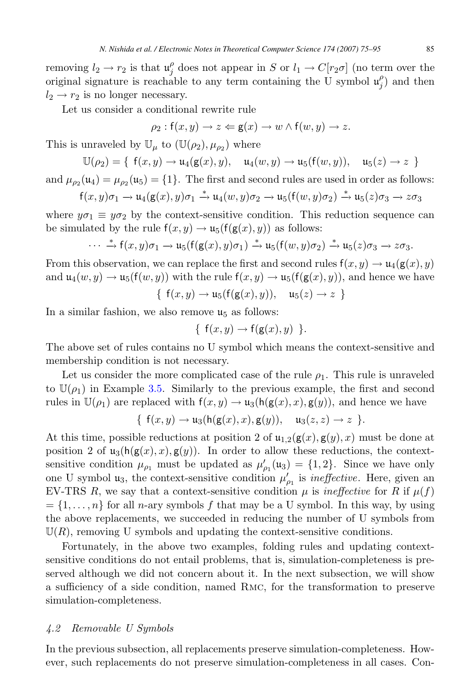<span id="page-10-0"></span>removing  $l_2 \to r_2$  is that  $\mathfrak{u}_j^{\rho}$  does not appear in S or  $l_1 \to C[r_2\sigma]$  (no term over the original signature is reachable to any term containing the U symbol  $\mathfrak{u}_{j}^{\rho}$  and then  $l_2 \rightarrow r_2$  is no longer necessary.

Let us consider a conditional rewrite rule

$$
\rho_2: f(x,y) \to z \Leftarrow g(x) \to w \land f(w,y) \to z.
$$

This is unraveled by  $\mathbb{U}_{\mu}$  to  $(\mathbb{U}(\rho_2), \mu_{\rho_2})$  where

$$
\mathbb{U}(\rho_2) = \{ f(x, y) \to \mathfrak{u}_4(\mathsf{g}(x), y), \quad \mathfrak{u}_4(w, y) \to \mathfrak{u}_5(f(w, y)), \quad \mathfrak{u}_5(z) \to z \}
$$

and  $\mu_{\rho_2}(\mu_4) = \mu_{\rho_2}(\mu_5) = \{1\}$ . The first and second rules are used in order as follows:

$$
f(x,y)\sigma_1 \to \mathfrak{u}_4(\mathsf{g}(x),y)\sigma_1 \stackrel{*}{\to} \mathfrak{u}_4(w,y)\sigma_2 \to \mathfrak{u}_5(f(w,y)\sigma_2) \stackrel{*}{\to} \mathfrak{u}_5(z)\sigma_3 \to z\sigma_3
$$

where  $y\sigma_1 \equiv y\sigma_2$  by the context-sensitive condition. This reduction sequence can be simulated by the rule  $f(x, y) \rightarrow u_5(f(g(x), y))$  as follows:

$$
\cdots \xrightarrow{*} f(x,y)\sigma_1 \to \mathfrak{u}_5(f(g(x),y)\sigma_1) \xrightarrow{*} \mathfrak{u}_5(f(w,y)\sigma_2) \xrightarrow{*} \mathfrak{u}_5(z)\sigma_3 \to z\sigma_3.
$$

From this observation, we can replace the first and second rules  $f(x, y) \to u_4(g(x), y)$ and  $\mathfrak{u}_4(w, y) \to \mathfrak{u}_5(f(w, y))$  with the rule  $f(x, y) \to \mathfrak{u}_5(f(g(x), y))$ , and hence we have

$$
\{f(x,y)\rightarrow \mathfrak{u}_5(f(g(x),y)),\quad \mathfrak{u}_5(z)\rightarrow z\ \}
$$

In a similar fashion, we also remove  $\mathfrak{u}_5$  as follows:

$$
\{ f(x,y) \rightarrow f(g(x),y) \}.
$$

The above set of rules contains no U symbol which means the context-sensitive and membership condition is not necessary.

Let us consider the more complicated case of the rule  $\rho_1$ . This rule is unraveled to  $\mathbb{U}(\rho_1)$  in Example [3.5.](#page-8-0) Similarly to the previous example, the first and second rules in  $\mathbb{U}(\rho_1)$  are replaced with  $f(x, y) \to u_3(h(g(x), x), g(y))$ , and hence we have

$$
\{f(x,y)\rightarrow \mathfrak{u}_3(\mathsf{h}(\mathsf{g}(x),x),\mathsf{g}(y)),\quad \mathfrak{u}_3(z,z)\rightarrow z\}.
$$

At this time, possible reductions at position 2 of  $u_{1,2}(g(x), g(y), x)$  must be done at position 2 of  $u_3(h(g(x), x), g(y))$ . In order to allow these reductions, the contextsensitive condition  $\mu_{\rho_1}$  must be updated as  $\mu'_{\rho_1}(\mathfrak{u}_3) = \{1,2\}$ . Since we have only one U symbol  $\mathfrak{u}_3$ , the context-sensitive condition  $\mu'_{\rho_1}$  is *ineffective*. Here, given an EV-TRS R, we say that a context-sensitive condition  $\mu$  is *ineffective* for R if  $\mu(f)$  $=\{1,\ldots,n\}$  for all *n*-ary symbols f that may be a U symbol. In this way, by using the above replacements, we succeeded in reducing the number of U symbols from  $\mathbb{U}(R)$ , removing U symbols and updating the context-sensitive conditions.

Fortunately, in the above two examples, folding rules and updating contextsensitive conditions do not entail problems, that is, simulation-completeness is preserved although we did not concern about it. In the next subsection, we will show a sufficiency of a side condition, named Rmc, for the transformation to preserve simulation-completeness.

#### 4.2 Removable U Symbols

In the previous subsection, all replacements preserve simulation-completeness. However, such replacements do not preserve simulation-completeness in all cases. Con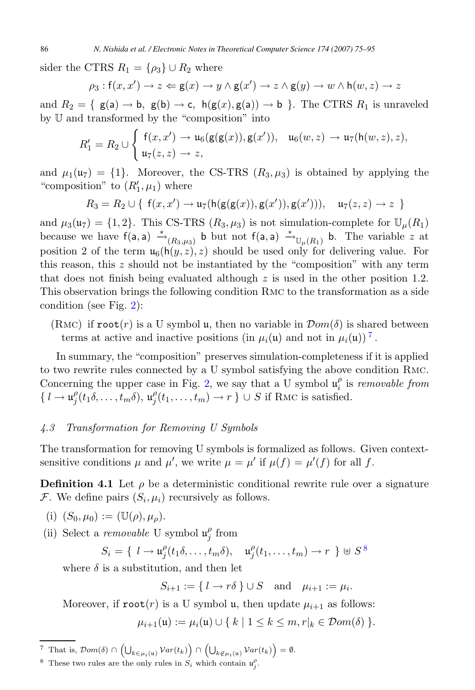sider the CTRS  $R_1 = \{\rho_3\} \cup R_2$  where

$$
\rho_3: f(x, x') \to z \Leftarrow g(x) \to y \land g(x') \to z \land g(y) \to w \land h(w, z) \to z
$$

and  $R_2 = \{ g(a) \rightarrow b, g(b) \rightarrow c, h(g(x), g(a)) \rightarrow b \}$ . The CTRS  $R_1$  is unraveled by U and transformed by the "composition" into

$$
R'_1 = R_2 \cup \begin{cases} f(x, x') \to \mathfrak{u}_6(g(g(x)), g(x')), & \mathfrak{u}_6(w, z) \to \mathfrak{u}_7(\mathfrak{h}(w, z), z), \\ \mathfrak{u}_7(z, z) \to z, & \end{cases}
$$

and  $\mu_1(\mathfrak{u}_7) = \{1\}$ . Moreover, the CS-TRS  $(R_3, \mu_3)$  is obtained by applying the "composition" to  $(R'_1, \mu_1)$  where

$$
R_3 = R_2 \cup \{ f(x, x') \to \mathfrak{u}_7(\mathsf{h}(g(g(x)), g(x')), g(x'))), \quad \mathfrak{u}_7(z, z) \to z \}
$$

and  $\mu_3(\mathfrak{u}_7) = \{1, 2\}$ . This CS-TRS  $(R_3, \mu_3)$  is not simulation-complete for  $\mathbb{U}_{\mu}(R_1)$ because we have  $f(a, a) \stackrel{*}{\rightarrow}_{(R_3,\mu_3)} b$  but not  $f(a, a) \stackrel{*}{\rightarrow}_{\mathbb{U}_{\mu}(R_1)} b$ . The variable z at position 2 of the term  $u_6(h(y, z), z)$  should be used only for delivering value. For this reason, this  $z$  should not be instantiated by the "composition" with any term that does not finish being evaluated although  $z$  is used in the other position 1.2. This observation brings the following condition Rmc to the transformation as a side condition (see Fig. [2\)](#page-2-0):

(RMC) if root(r) is a U symbol u, then no variable in  $\mathcal{D}om(\delta)$  is shared between terms at active and inactive positions (in  $\mu_i(\mathfrak{u})$  and not in  $\mu_i(\mathfrak{u})$ )<sup>7</sup>.

In summary, the "composition" preserves simulation-completeness if it is applied to two rewrite rules connected by a U symbol satisfying the above condition Rmc. Concerning the upper case in Fig. [2,](#page-2-0) we say that a U symbol  $\mathfrak{u}_i^{\rho}$  is *removable from*  $\{ l \to \mathfrak{u}_j^{\rho}(t_1\delta,\ldots,t_m\delta), \mathfrak{u}_j^{\rho}(t_1,\ldots,t_m) \to r \} \cup S$  if RMC is satisfied.

#### 4.3 Transformation for Removing U Symbols

The transformation for removing U symbols is formalized as follows. Given contextsensitive conditions  $\mu$  and  $\mu'$ , we write  $\mu = \mu'$  if  $\mu(f) = \mu'(f)$  for all f.

**Definition 4.1** Let  $\rho$  be a deterministic conditional rewrite rule over a signature F. We define pairs  $(S_i, \mu_i)$  recursively as follows.

- (i)  $(S_0, \mu_0) := (\mathbb{U}(\rho), \mu_\rho).$
- (ii) Select a *removable* U symbol  $\mathfrak{u}_j^{\rho}$  from

$$
S_i = \{ l \to \mathfrak{u}_j^{\rho}(t_1 \delta, \dots, t_m \delta), \quad \mathfrak{u}_j^{\rho}(t_1, \dots, t_m) \to r \} \uplus S^8
$$

where  $\delta$  is a substitution, and then let

 $S_{i+1} := \{ l \to r\delta \} \cup S$  and  $\mu_{i+1} := \mu_i$ .

Moreover, if  $\text{root}(r)$  is a U symbol u, then update  $\mu_{i+1}$  as follows:

$$
\mu_{i+1}(\mathfrak{u}) := \mu_i(\mathfrak{u}) \cup \{ k \mid 1 \leq k \leq m, r|_k \in \mathcal{D}om(\delta) \}.
$$

<sup>7</sup> That is,  $\mathcal{D}om(\delta) \cap (\bigcup_{k \in \mu_i(\mathfrak{u})} \mathcal{V}ar(t_k)\big) \cap (\bigcup_{k \notin \mu_i(\mathfrak{u})} \mathcal{V}ar(t_k)) = \emptyset.$ 

<span id="page-11-0"></span>

<sup>&</sup>lt;sup>8</sup> These two rules are the only rules in  $S_i$  which contain  $\mathfrak{u}_j^{\rho}$ .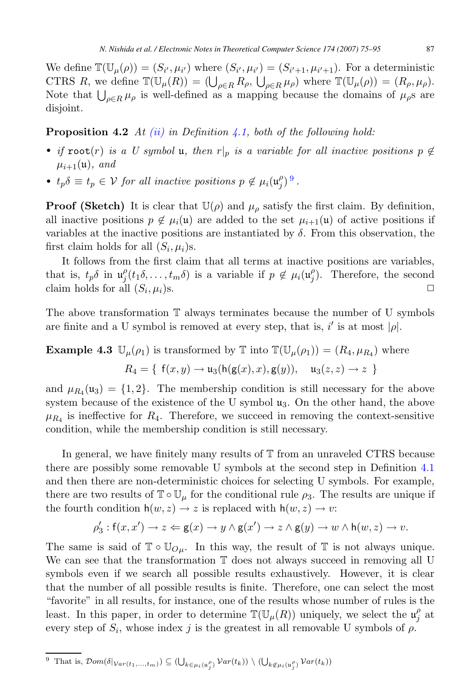We define  $\mathbb{T}(\mathbb{U}_{\mu}(\rho))=(S_{i'},\mu_{i'})$  where  $(S_{i'},\mu_{i'})=(S_{i'+1},\mu_{i'+1})$ . For a deterministic CTRS R, we define  $\mathbb{T}(\mathbb{U}_{\mu}(R)) = (\bigcup_{\rho \in R} R_{\rho}, \bigcup_{\rho \in R} \mu_{\rho})$  where  $\mathbb{T}(\mathbb{U}_{\mu}(\rho)) = (R_{\rho}, \mu_{\rho})$ . Note that  $\bigcup_{\rho \in R} \mu_{\rho}$  is well-defined as a mapping because the domains of  $\mu_{\rho}$ s are disjoint.

**Proposition 4.2** At [\(ii\)](#page-11-0) in Definition [4.1,](#page-11-0) both of the following hold:

- if  $\texttt{root}(r)$  is a U symbol  $\mathfrak{u}$ , then  $r|_p$  is a variable for all inactive positions  $p \notin$  $\mu_{i+1}(\mathfrak{u})$ , and
- $t_p \delta \equiv t_p \in V$  for all inactive positions  $p \notin \mu_i(\mathfrak{u}_j^{\rho})^9$ .

**Proof (Sketch)** It is clear that  $\mathbb{U}(\rho)$  and  $\mu_{\rho}$  satisfy the first claim. By definition, all inactive positions  $p \notin \mu_i(\mathfrak{u})$  are added to the set  $\mu_{i+1}(\mathfrak{u})$  of active positions if variables at the inactive positions are instantiated by  $\delta$ . From this observation, the first claim holds for all  $(S_i, \mu_i)$ s.

It follows from the first claim that all terms at inactive positions are variables, that is,  $t_p \delta$  in  $\mathfrak{u}_j^{\rho}(t_1 \delta, \ldots, t_m \delta)$  is a variable if  $p \notin \mu_i(\mathfrak{u}_j^{\rho})$ . Therefore, the second claim holds for all  $(S_i, \mu_i)$ s.

The above transformation T always terminates because the number of U symbols are finite and a U symbol is removed at every step, that is,  $i'$  is at most  $|\rho|$ .

**Example 4.3**  $\mathbb{U}_{\mu}(\rho_1)$  is transformed by T into  $\mathbb{T}(\mathbb{U}_{\mu}(\rho_1)) = (R_4, \mu_{R_4})$  where  $R_4 = \{ f(x, y) \rightarrow \mathfrak{u}_3(\mathsf{h}(\mathsf{g}(x), x), \mathsf{g}(y)), \quad \mathfrak{u}_3(z, z) \rightarrow z \}$ 

and  $\mu_{R_4}(\mu_3) = \{1, 2\}$ . The membership condition is still necessary for the above system because of the existence of the U symbol  $\mathfrak{u}_3$ . On the other hand, the above  $\mu_{R_4}$  is ineffective for  $R_4$ . Therefore, we succeed in removing the context-sensitive condition, while the membership condition is still necessary.

In general, we have finitely many results of T from an unraveled CTRS because there are possibly some removable U symbols at the second step in Definition [4.1](#page-11-0) and then there are non-deterministic choices for selecting U symbols. For example, there are two results of  $\mathbb{T} \circ \mathbb{U}_{\mu}$  for the conditional rule  $\rho_3$ . The results are unique if the fourth condition  $h(w, z) \rightarrow z$  is replaced with  $h(w, z) \rightarrow v$ :

$$
\rho_3':\mathsf{f}(x,x')\to z\Leftarrow \mathsf{g}(x)\to y\land \mathsf{g}(x')\to z\land \mathsf{g}(y)\to w\land \mathsf{h}(w,z)\to v.
$$

The same is said of  $\mathbb{T} \circ \mathbb{U}_{\mathcal{O}_\mu}$ . In this way, the result of  $\mathbb{T}$  is not always unique. We can see that the transformation  $\mathbb T$  does not always succeed in removing all U symbols even if we search all possible results exhaustively. However, it is clear that the number of all possible results is finite. Therefore, one can select the most "favorite" in all results, for instance, one of the results whose number of rules is the least. In this paper, in order to determine  $\mathbb{T}(\mathbb{U}_\mu(R))$  uniquely, we select the  $\mathfrak{u}_j^{\rho}$  at every step of  $S_i$ , whose index j is the greatest in all removable U symbols of  $\rho$ .

<sup>&</sup>lt;sup>9</sup> That is,  $\mathcal{D}om(\delta|_{Var(t_1,...,t_m)}) \subseteq (\bigcup_{k \in \mu_i(u_j^{\rho})} \mathcal{V}ar(t_k)) \setminus (\bigcup_{k \notin \mu_i(u_j^{\rho})} \mathcal{V}ar(t_k))$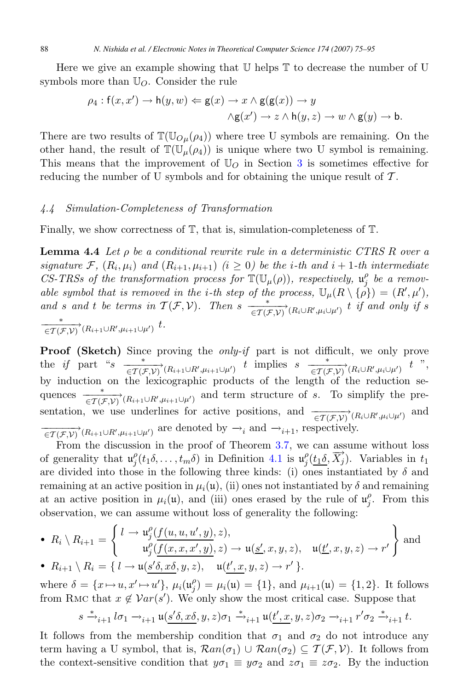<span id="page-13-0"></span>Here we give an example showing that  $\mathbb U$  helps  $\mathbb T$  to decrease the number of  $\mathbb U$ symbols more than  $\mathbb{U}_O$ . Consider the rule

$$
\rho_4: \mathsf{f}(x, x') \to \mathsf{h}(y, w) \Leftarrow \mathsf{g}(x) \to x \land \mathsf{g}(\mathsf{g}(x)) \to y
$$

$$
\land \mathsf{g}(x') \to z \land \mathsf{h}(y, z) \to w \land \mathsf{g}(y) \to \mathsf{b}.
$$

There are two results of  $\mathbb{T}(\mathbb{U}_{\mathcal{O}_{\mu}}(\rho_4))$  where tree U symbols are remaining. On the other hand, the result of  $\mathbb{T}(\mathbb{U}_{\mu}(\rho_4))$  is unique where two U symbol is remaining. This means that the improvement of  $\mathbb{U}_O$  in Section [3](#page-5-0) is sometimes effective for reducing the number of U symbols and for obtaining the unique result of  $\mathcal T$ .

#### 4.4 Simulation-Completeness of Transformation

Finally, we show correctness of T, that is, simulation-completeness of T.

**Lemma 4.4** Let  $\rho$  be a conditional rewrite rule in a deterministic CTRS R over a signature F,  $(R_i, \mu_i)$  and  $(R_{i+1}, \mu_{i+1})$   $(i \geq 0)$  be the *i*-th and *i* + 1-th intermediate CS-TRSs of the transformation process for  $\mathbb{T}(\mathbb{U}_{\mu}(\rho))$ , respectively,  $\mathfrak{u}_j^{\rho}$  be a removable symbol that is removed in the i-th step of the process,  $\mathbb{U}_{\mu}(R \setminus {\rho}^{\prime}) = (R', \mu'),$ and s and t be terms in  $\mathcal{T}(\mathcal{F}, \mathcal{V})$ . Then s  $\frac{*}{\in \mathcal{T}(\mathcal{F}, \mathcal{V})}$  $(R_i \cup R', \mu_i \cup \mu')$  t if and only if s  $\frac{*}{\epsilon \tau(\mathcal{F}, \mathcal{V})}$  $\langle R_{i+1} \cup R', \mu_{i+1} \cup \mu' \rangle$  t.

**Proof (Sketch)** Since proving the *only-if* part is not difficult, we only prove the if part "s  $\frac{*}{\epsilon \mathcal{T}(\mathcal{F},\mathcal{V})}(R_{i+1}\cup R',\mu_{i+1}\cup \mu')$  t implies s  $\frac{*}{\epsilon \mathcal{T}(\mathcal{F},\mathcal{V})}(R_i\cup R',\mu_i\cup \mu')$  t ", by induction on the lexicographic products of the length of the reduction sequences  $\frac{*}{\in T(\mathcal{F},\mathcal{V})}(R_{i+1}\cup R',\mu_{i+1}\cup \mu')$  and term structure of s. To simplify the presentation, we use underlines for active positions, and  $\frac{1}{\epsilon \mathcal{I}(\mathcal{F}, \mathcal{V})} (R_i \cup R', \mu_i \cup \mu')$  and  $-\frac{C_1(\mathcal{F}, \mathcal{V})}{C_2(\mathcal{F}, \mathcal{V})}(R_{i+1}\cup R', \mu_{i+1}\cup \mu')$  are denoted by  $\rightarrow_i$  and  $\rightarrow_{i+1}$ , respectively.

From the discussion in the proof of Theorem [3.7,](#page-9-0) we can assume without loss of generality that  $u_j^{\rho}(t_1\delta,\ldots,t_m\delta)$  in Definition [4.1](#page-11-0) is  $u_j^{\rho}(\underline{t_1}\delta,\overline{X_j})$ . Variables in  $t_1$ are divided into those in the following three kinds: (i) ones instantiated by  $\delta$  and remaining at an active position in  $\mu_i(\mathbf{u})$ , (ii) ones not instantiated by  $\delta$  and remaining at an active position in  $\mu_i(\mathfrak{u})$ , and (iii) ones erased by the rule of  $\mathfrak{u}^{\rho}_j$ . From this observation, we can assume without loss of generality the following:

• 
$$
R_i \setminus R_{i+1} = \begin{cases} l \to \mathfrak{u}_j^{\rho}(f(u, u, u', y), z), \\ \mathfrak{u}_j^{\rho}(\overline{f(x, x, x', y)}, z) \to \mathfrak{u}(\underline{s}', x, y, z), \\ \mathfrak{u}(\underline{t}', x, y, z) \to r' \end{cases}
$$
 and  
\n•  $R_{i+1} \setminus R_i = \{ l \to \mathfrak{u}(\underline{s}' \delta, x \delta, y, z), \mathfrak{u}(\underline{t}', x, y, z) \to r' \}.$ 

where  $\delta = \{x \mapsto u, x' \mapsto u'\}, \mu_i(\mathfrak{u}_j^{\rho}) = \mu_i(\mathfrak{u}) = \{1\}, \text{ and } \mu_{i+1}(\mathfrak{u}) = \{1, 2\}.$  It follows from RMC that  $x \notin Var(s')$ . We only show the most critical case. Suppose that

$$
s \xrightarrow{*} i+1 l \sigma_1 \rightarrow_{i+1} \mathfrak{u}(\underline{s'\delta,x\delta},y,z) \sigma_1 \xrightarrow{*} i+1 \mathfrak{u}(\underline{t',x},y,z) \sigma_2 \rightarrow_{i+1} r' \sigma_2 \xrightarrow{*} i+1 t.
$$

It follows from the membership condition that  $\sigma_1$  and  $\sigma_2$  do not introduce any term having a U symbol, that is,  $\mathcal{R}an(\sigma_1) \cup \mathcal{R}an(\sigma_2) \subseteq \mathcal{T}(\mathcal{F}, \mathcal{V})$ . It follows from the context-sensitive condition that  $y\sigma_1 \equiv y\sigma_2$  and  $z\sigma_1 \equiv z\sigma_2$ . By the induction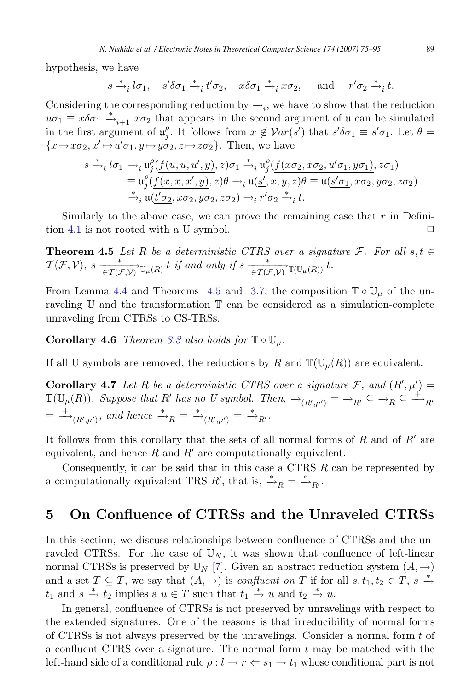<span id="page-14-0"></span>hypothesis, we have

$$
s \xrightarrow{*} l \sigma_1, \quad s' \delta \sigma_1 \xrightarrow{*} t' \sigma_2, \quad x \delta \sigma_1 \xrightarrow{*} x \sigma_2, \quad \text{and} \quad r' \sigma_2 \xrightarrow{*} t.
$$

Considering the corresponding reduction by  $\rightarrow_i$ , we have to show that the reduction  $u\sigma_1 \equiv x\delta\sigma_1 \stackrel{*}{\rightarrow}_{i+1} x\sigma_2$  that appears in the second argument of u can be simulated in the first argument of  $\mathfrak{u}_j^{\rho}$ . It follows from  $x \notin \mathcal{V}ar(s')$  that  $s'\delta\sigma_1 \equiv s'\sigma_1$ . Let  $\theta =$  ${x \mapsto x\sigma_2, x' \mapsto u'\sigma_1, y \mapsto y\sigma_2, z \mapsto z\sigma_2}.$  Then, we have

$$
s \xrightarrow{\ast} i l \sigma_1 \rightarrow_i \mathfrak{u}_j^{\rho}(\underline{f}(u, u, u', y), z) \sigma_1 \xrightarrow{\ast} i \mathfrak{u}_j^{\rho}(\underline{f}(x \sigma_2, x \sigma_2, u' \sigma_1, y \sigma_1), z \sigma_1)
$$
  
\n
$$
\equiv \mathfrak{u}_j^{\rho}(\underline{f}(x, x, x', y), z) \theta \rightarrow_i \mathfrak{u}(\underline{s}', x, y, z) \theta \equiv \mathfrak{u}(\underline{s}' \sigma_1, x \sigma_2, y \sigma_2, z \sigma_2)
$$
  
\n
$$
\xrightarrow{\ast} i \mathfrak{u}(\underline{t}' \sigma_2, x \sigma_2, y \sigma_2, z \sigma_2) \rightarrow_i r' \sigma_2 \xrightarrow{\ast} i t.
$$

Similarly to the above case, we can prove the remaining case that  $r$  in Defini-tion [4.1](#page-11-0) is not rooted with a U symbol.  $\Box$ 

**Theorem 4.5** Let R be a deterministic CTRS over a signature  $\mathcal{F}$ . For all  $s,t \in$  $T(\mathcal{F}, \mathcal{V}), s \xrightarrow[\in \mathcal{T}(\mathcal{F}, \mathcal{V})]{} \mathbb{U}_{\mu}(R) t \text{ if and only if } s \xrightarrow[\in \mathcal{T}(\mathcal{F}, \mathcal{V})]{} \mathbb{T}(\mathbb{U}_{\mu}(R))} t.$ 

From Lemma [4.4](#page-13-0) and Theorems 4.5 and [3.7,](#page-9-0) the composition  $\mathbb{T} \circ \mathbb{U}_{\mu}$  of the unraveling  $\mathbb U$  and the transformation  $\mathbb T$  can be considered as a simulation-complete unraveling from CTRSs to CS-TRSs.

**Corollary 4.6** Theorem [3.3](#page-6-0) also holds for  $\mathbb{T} \circ \mathbb{U}_{\mu}$ .

If all U symbols are removed, the reductions by R and  $\mathbb{T}(\mathbb{U}_{\mu}(R))$  are equivalent.

**Corollary 4.7** Let R be a deterministic CTRS over a signature F, and  $(R', \mu') =$  $\mathbb{T}(\mathbb{U}_{\mu}(R))$ . Suppose that R' has no U symbol. Then,  $\rightarrow_{(R',\mu')} = \rightarrow_{R'} \subseteq \rightarrow_R \subseteq \rightarrow_{R'}$  $=\rightarrow^{\#}_{(R',\mu')},$  and hence  $\rightarrow^{\#}_{R}=\rightarrow^{\#}_{(R',\mu')}=\rightarrow^{\#}_{R'}.$ 

It follows from this corollary that the sets of all normal forms of  $R$  and of  $R'$  are equivalent, and hence  $R$  and  $R'$  are computationally equivalent.

Consequently, it can be said that in this case a CTRS R can be represented by a computationally equivalent TRS  $R'$ , that is,  $\stackrel{*}{\to}_R = \stackrel{*}{\to}_{R'}$ .

# **5 On Confluence of CTRSs and the Unraveled CTRSs**

In this section, we discuss relationships between confluence of CTRSs and the unraveled CTRSs. For the case of  $\mathbb{U}_N$ , it was shown that confluence of left-linear normal CTRSs is preserved by  $\mathbb{U}_N$  [\[7\]](#page-20-0). Given an abstract reduction system  $(A, \rightarrow)$ and a set  $T \subseteq T$ , we say that  $(A, \rightarrow)$  is *confluent on* T if for all  $s, t_1, t_2 \in T$ ,  $s \stackrel{*}{\rightarrow}$  $t_1$  and  $s \stackrel{*}{\rightarrow} t_2$  implies a  $u \in T$  such that  $t_1 \stackrel{*}{\rightarrow} u$  and  $t_2 \stackrel{*}{\rightarrow} u$ .

In general, confluence of CTRSs is not preserved by unravelings with respect to the extended signatures. One of the reasons is that irreducibility of normal forms of CTRSs is not always preserved by the unravelings. Consider a normal form t of a confluent CTRS over a signature. The normal form t may be matched with the left-hand side of a conditional rule  $\rho: l \to r \Leftrightarrow s_1 \to t_1$  whose conditional part is not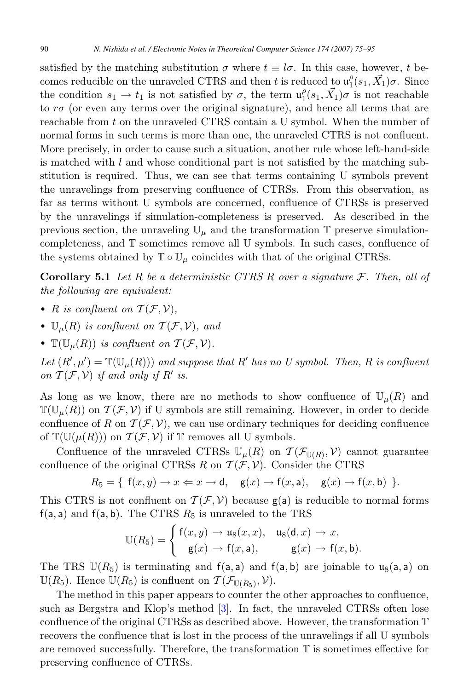satisfied by the matching substitution  $\sigma$  where  $t \equiv l\sigma$ . In this case, however, t becomes reducible on the unraveled CTRS and then t is reduced to  $\mathfrak{u}_1^{\rho}(s_1, \vec{X_1})\sigma$ . Since the condition  $s_1 \to t_1$  is not satisfied by  $\sigma$ , the term  $\mathfrak{u}_1^{\rho}(s_1, \vec{X}_1)\sigma$  is not reachable to  $r\sigma$  (or even any terms over the original signature), and hence all terms that are reachable from t on the unraveled CTRS contain a U symbol. When the number of normal forms in such terms is more than one, the unraveled CTRS is not confluent. More precisely, in order to cause such a situation, another rule whose left-hand-side is matched with  $l$  and whose conditional part is not satisfied by the matching substitution is required. Thus, we can see that terms containing U symbols prevent the unravelings from preserving confluence of CTRSs. From this observation, as far as terms without U symbols are concerned, confluence of CTRSs is preserved by the unravelings if simulation-completeness is preserved. As described in the previous section, the unraveling  $\mathbb{U}_{\mu}$  and the transformation  $\mathbb{T}$  preserve simulationcompleteness, and T sometimes remove all U symbols. In such cases, confluence of the systems obtained by  $\mathbb{T} \circ \mathbb{U}_{\mu}$  coincides with that of the original CTRSs.

**Corollary 5.1** Let R be a deterministic CTRS R over a signature  $\mathcal{F}$ . Then, all of the following are equivalent:

- R is confluent on  $\mathcal{T}(\mathcal{F}, \mathcal{V})$ ,
- $\mathbb{U}_{\mu}(R)$  is confluent on  $\mathcal{T}(\mathcal{F}, \mathcal{V})$ , and
- $\mathbb{T}(\mathbb{U}_{\mu}(R))$  is confluent on  $\mathcal{T}(\mathcal{F}, \mathcal{V})$ .

Let  $(R', \mu') = \mathbb{T}(\mathbb{U}_{\mu}(R)))$  and suppose that R' has no U symbol. Then, R is confluent on  $\mathcal{T}(\mathcal{F}, \mathcal{V})$  if and only if  $R'$  is.

As long as we know, there are no methods to show confluence of  $\mathbb{U}_n(R)$  and  $\mathbb{T}(\mathbb{U}_{\mu}(R))$  on  $\mathcal{T}(\mathcal{F},\mathcal{V})$  if U symbols are still remaining. However, in order to decide confluence of R on  $\mathcal{T}(\mathcal{F}, \mathcal{V})$ , we can use ordinary techniques for deciding confluence of  $\mathbb{T}(\mathbb{U}(\mu(R)))$  on  $\mathcal{T}(\mathcal{F}, \mathcal{V})$  if  $\mathbb{T}$  removes all U symbols.

Confluence of the unraveled CTRSs  $\mathbb{U}_{\mu}(R)$  on  $\mathcal{T}(\mathcal{F}_{\mathbb{U}(R)}, V)$  cannot guarantee confluence of the original CTRSs R on  $\mathcal{T}(\mathcal{F}, \mathcal{V})$ . Consider the CTRS

 $R_5 = \{ f(x, y) \rightarrow x \Leftarrow x \rightarrow d, \quad g(x) \rightarrow f(x, a), \quad g(x) \rightarrow f(x, b) \}.$ 

This CTRS is not confluent on  $\mathcal{T}(\mathcal{F}, \mathcal{V})$  because  $g(a)$  is reducible to normal forms  $f(a, a)$  and  $f(a, b)$ . The CTRS  $R_5$  is unraveled to the TRS

$$
\mathbb{U}(R_5) = \begin{cases} f(x,y) \to \mathfrak{u}_8(x,x), & \mathfrak{u}_8(\mathsf{d},x) \to x, \\ g(x) \to f(x,\mathsf{a}), & g(x) \to f(x,\mathsf{b}). \end{cases}
$$

The TRS  $U(R_5)$  is terminating and  $f(a, a)$  and  $f(a, b)$  are joinable to  $u_8(a, a)$  on  $\mathbb{U}(R_5)$ . Hence  $\mathbb{U}(R_5)$  is confluent on  $\mathcal{T}(\mathcal{F}_{\mathbb{U}(R_5)}, \mathcal{V})$ .

The method in this paper appears to counter the other approaches to confluence, such as Bergstra and Klop's method [\[3\]](#page-20-0). In fact, the unraveled CTRSs often lose confluence of the original CTRSs as described above. However, the transformation T recovers the confluence that is lost in the process of the unravelings if all U symbols are removed successfully. Therefore, the transformation T is sometimes effective for preserving confluence of CTRSs.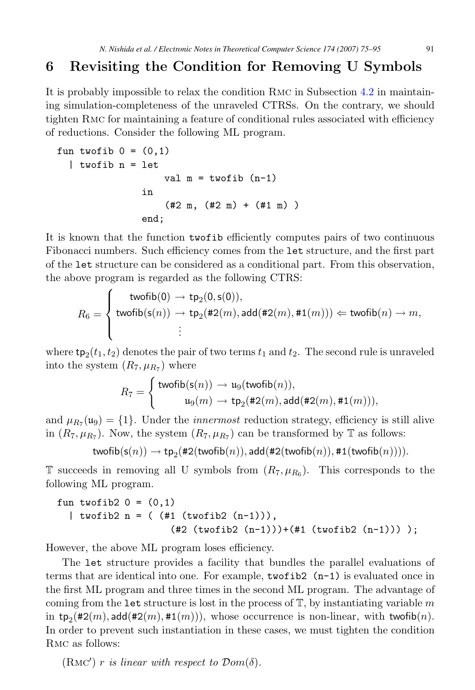# <span id="page-16-0"></span>**6 Revisiting the Condition for Removing U Symbols**

It is probably impossible to relax the condition Rmc in Subsection [4.2](#page-10-0) in maintaining simulation-completeness of the unraveled CTRSs. On the contrary, we should tighten Rmc for maintaining a feature of conditional rules associated with efficiency of reductions. Consider the following ML program.

```
fun twofib 0 = (0,1)| twofib n = let
                         val m = twofib (n-1)in
                         (\#2 \text{ m}, (\#2 \text{ m}) + (\#1 \text{ m}) )end;
```
It is known that the function twofib efficiently computes pairs of two continuous Fibonacci numbers. Such efficiency comes from the let structure, and the first part of the let structure can be considered as a conditional part. From this observation, the above program is regarded as the following CTRS:

$$
R_6 = \left\{ \begin{aligned} \text{twofib}(0) &\rightarrow \text{tp}_2(0, \text{s}(0)), \\ \text{twofib}(\text{s}(n)) &\rightarrow \text{tp}_2(\text{\#2}(m), \text{add}(\text{\#2}(m), \text{\#1}(m))) \Leftarrow \text{twofib}(n) \rightarrow m, \\ &\vdots \end{aligned} \right.
$$

where  $tp_2(t_1, t_2)$  denotes the pair of two terms  $t_1$  and  $t_2$ . The second rule is unraveled into the system  $(R_7, \mu_{R_7})$  where

$$
R_7 = \begin{cases} \text{twofib}(\mathsf{s}(n)) \to \mathfrak{u}_9(\text{twofib}(n)), \\ \mathfrak{u}_9(m) \to \mathfrak{tp}_2(\#2(m), \text{add}(\#2(m), \#1(m))), \end{cases}
$$

and  $\mu_{B_7}(\mu_9) = \{1\}$ . Under the *innermost* reduction strategy, efficiency is still alive in  $(R_7, \mu_{R_7})$ . Now, the system  $(R_7, \mu_{R_7})$  can be transformed by T as follows:

$$
\text{twofib}(\mathsf{s}(n)) \rightarrow \mathsf{tp}_2(\texttt{\#2}(\text{twofib}(n)), \text{add}(\texttt{\#2}(\text{twofib}(n)), \texttt{\#1}(\text{twofib}(n)))).
$$

T succeeds in removing all U symbols from  $(R_7, \mu_{R_6})$ . This corresponds to the following ML program.

```
fun twofib2 0 = (0,1)| twofib2 n = ((#1 (twofib2 (n-1))),(#2 (twofib2 (n-1)))+(#1 (twofib2 (n-1))) );
```
However, the above ML program loses efficiency.

The let structure provides a facility that bundles the parallel evaluations of terms that are identical into one. For example, twofib2 (n-1) is evaluated once in the first ML program and three times in the second ML program. The advantage of coming from the let structure is lost in the process of  $\mathbb{T}$ , by instantiating variable m in tp<sub>2</sub>(#2(m), add(#2(m), #1(m))), whose occurrence is non-linear, with twofib(n). In order to prevent such instantiation in these cases, we must tighten the condition Rmc as follows:

(RMC') r is linear with respect to  $\mathcal{D}om(\delta)$ .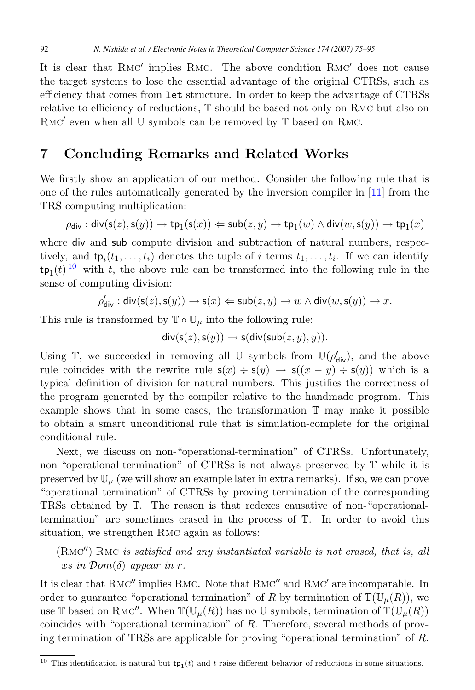<span id="page-17-0"></span>It is clear that RMC' implies RMC. The above condition RMC' does not cause the target systems to lose the essential advantage of the original CTRSs, such as efficiency that comes from let structure. In order to keep the advantage of CTRSs relative to efficiency of reductions, T should be based not only on Rmc but also on RMC' even when all U symbols can be removed by  $\mathbb T$  based on RMC.

## **7 Concluding Remarks and Related Works**

We firstly show an application of our method. Consider the following rule that is one of the rules automatically generated by the inversion compiler in [\[11\]](#page-20-0) from the TRS computing multiplication:

$$
\rho_{\mathsf{div}} : \mathsf{div}(\mathsf{s}(z),\mathsf{s}(y)) \to \mathsf{tp}_1(\mathsf{s}(x)) \Leftarrow \mathsf{sub}(z,y) \to \mathsf{tp}_1(w) \land \mathsf{div}(w,\mathsf{s}(y)) \to \mathsf{tp}_1(x)
$$

where div and sub compute division and subtraction of natural numbers, respectively, and  $tp_i(t_1,\ldots,t_i)$  denotes the tuple of i terms  $t_1,\ldots,t_i$ . If we can identify  $\text{tp}_1(t)$  <sup>10</sup> with t, the above rule can be transformed into the following rule in the sense of computing division:

$$
\rho'_{\text{div}}: \text{div}(\mathsf{s}(z), \mathsf{s}(y)) \to \mathsf{s}(x) \Leftarrow \text{sub}(z, y) \to w \land \text{div}(w, \mathsf{s}(y)) \to x.
$$

This rule is transformed by  $\mathbb{T} \circ \mathbb{U}_{\mu}$  into the following rule:

$$
\mathsf{div}(\mathsf{s}(z),\mathsf{s}(y)) \to \mathsf{s}(\mathsf{div}(\mathsf{sub}(z,y),y)).
$$

Using  $\mathbb{T}$ , we succeeded in removing all U symbols from  $\mathbb{U}(\rho_{div}')$ , and the above rule coincides with the rewrite rule  $s(x) \div s(y) \rightarrow s((x - y) \div s(y))$  which is a typical definition of division for natural numbers. This justifies the correctness of the program generated by the compiler relative to the handmade program. This example shows that in some cases, the transformation  $\mathbb T$  may make it possible to obtain a smart unconditional rule that is simulation-complete for the original conditional rule.

Next, we discuss on non-"operational-termination" of CTRSs. Unfortunately, non-"operational-termination" of CTRSs is not always preserved by T while it is preserved by  $\mathbb{U}_\mu$  (we will show an example later in extra remarks). If so, we can prove "operational termination" of CTRSs by proving termination of the corresponding TRSs obtained by T. The reason is that redexes causative of non-"operationaltermination" are sometimes erased in the process of T. In order to avoid this situation, we strengthen Rmc again as follows:

(RMC") RMC is satisfied and any instantiated variable is not erased, that is, all xs in  $\mathcal{D}om(\delta)$  appear in r.

It is clear that  $RMC''$  implies RMC. Note that  $RMC''$  and  $RMC'$  are incomparable. In order to guarantee "operational termination" of R by termination of  $\mathbb{T}(\mathbb{U}_u(R))$ , we use T based on RMC". When  $\mathbb{T}(\mathbb{U}_{\mu}(R))$  has no U symbols, termination of  $\mathbb{T}(\mathbb{U}_{\mu}(R))$ coincides with "operational termination" of R. Therefore, several methods of proving termination of TRSs are applicable for proving "operational termination" of R.

<sup>&</sup>lt;sup>10</sup> This identification is natural but  $tp_1(t)$  and t raise different behavior of reductions in some situations.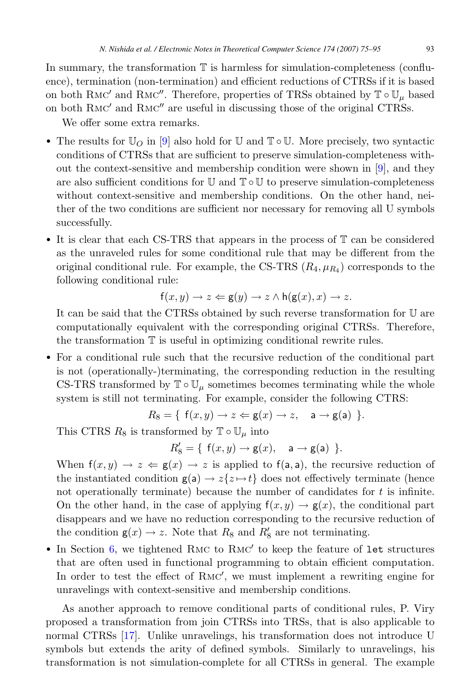In summary, the transformation  $\mathbb T$  is harmless for simulation-completeness (confluence), termination (non-termination) and efficient reductions of CTRSs if it is based on both RMC' and RMC". Therefore, properties of TRSs obtained by  $\mathbb{T} \circ \mathbb{U}_{\mu}$  based on both RMC' and RMC" are useful in discussing those of the original CTRSs.

We offer some extra remarks.

- The results for  $\mathbb{U}_O$  in [\[9\]](#page-20-0) also hold for  $\mathbb{U}$  and  $\mathbb{T} \circ \mathbb{U}$ . More precisely, two syntactic conditions of CTRSs that are sufficient to preserve simulation-completeness without the context-sensitive and membership condition were shown in  $[9]$ , and they are also sufficient conditions for U and  $\mathbb{T} \circ \mathbb{U}$  to preserve simulation-completeness without context-sensitive and membership conditions. On the other hand, neither of the two conditions are sufficient nor necessary for removing all U symbols successfully.
- It is clear that each CS-TRS that appears in the process of  $\mathbb T$  can be considered as the unraveled rules for some conditional rule that may be different from the original conditional rule. For example, the CS-TRS  $(R_4, \mu_{R_4})$  corresponds to the following conditional rule:

$$
f(x,y) \to z \Leftarrow g(y) \to z \land h(g(x),x) \to z.
$$

It can be said that the CTRSs obtained by such reverse transformation for U are computationally equivalent with the corresponding original CTRSs. Therefore, the transformation T is useful in optimizing conditional rewrite rules.

• For a conditional rule such that the recursive reduction of the conditional part is not (operationally-)terminating, the corresponding reduction in the resulting CS-TRS transformed by  $\mathbb{T} \circ \mathbb{U}_{\mu}$  sometimes becomes terminating while the whole system is still not terminating. For example, consider the following CTRS:

$$
R_8 = \{ f(x, y) \to z \Leftarrow g(x) \to z, \quad a \to g(a) \}.
$$

This CTRS  $R_8$  is transformed by  $\mathbb{T} \circ \mathbb{U}_{\mu}$  into

$$
R'_8 = \{ f(x,y) \rightarrow g(x), \quad a \rightarrow g(a) \}.
$$

When  $f(x, y) \rightarrow z \Leftarrow g(x) \rightarrow z$  is applied to  $f(a, a)$ , the recursive reduction of the instantiated condition  $g(a) \rightarrow z\{z \mapsto t\}$  does not effectively terminate (hence not operationally terminate) because the number of candidates for  $t$  is infinite. On the other hand, in the case of applying  $f(x, y) \rightarrow g(x)$ , the conditional part disappears and we have no reduction corresponding to the recursive reduction of the condition  $g(x) \to z$ . Note that  $R_8$  and  $R'_8$  are not terminating.

• In Section [6,](#page-16-0) we tightened RMC to RMC' to keep the feature of  $let$  structures that are often used in functional programming to obtain efficient computation. In order to test the effect of RMC', we must implement a rewriting engine for unravelings with context-sensitive and membership conditions.

As another approach to remove conditional parts of conditional rules, P. Viry proposed a transformation from join CTRSs into TRSs, that is also applicable to normal CTRSs [\[17\]](#page-20-0). Unlike unravelings, his transformation does not introduce U symbols but extends the arity of defined symbols. Similarly to unravelings, his transformation is not simulation-complete for all CTRSs in general. The example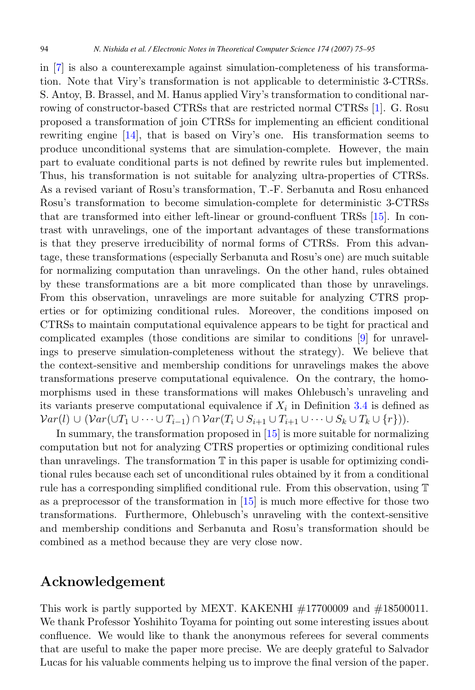in [\[7\]](#page-20-0) is also a counterexample against simulation-completeness of his transformation. Note that Viry's transformation is not applicable to deterministic 3-CTRSs. S. Antoy, B. Brassel, and M. Hanus applied Viry's transformation to conditional narrowing of constructor-based CTRSs that are restricted normal CTRSs [\[1\]](#page-20-0). G. Rosu proposed a transformation of join CTRSs for implementing an efficient conditional rewriting engine [\[14\]](#page-20-0), that is based on Viry's one. His transformation seems to produce unconditional systems that are simulation-complete. However, the main part to evaluate conditional parts is not defined by rewrite rules but implemented. Thus, his transformation is not suitable for analyzing ultra-properties of CTRSs. As a revised variant of Rosu's transformation, T.-F. Serbanuta and Rosu enhanced Rosu's transformation to become simulation-complete for deterministic 3-CTRSs that are transformed into either left-linear or ground-confluent TRSs [\[15\]](#page-20-0). In contrast with unravelings, one of the important advantages of these transformations is that they preserve irreducibility of normal forms of CTRSs. From this advantage, these transformations (especially Serbanuta and Rosu's one) are much suitable for normalizing computation than unravelings. On the other hand, rules obtained by these transformations are a bit more complicated than those by unravelings. From this observation, unravelings are more suitable for analyzing CTRS properties or for optimizing conditional rules. Moreover, the conditions imposed on CTRSs to maintain computational equivalence appears to be tight for practical and complicated examples (those conditions are similar to conditions [\[9\]](#page-20-0) for unravelings to preserve simulation-completeness without the strategy). We believe that the context-sensitive and membership conditions for unravelings makes the above transformations preserve computational equivalence. On the contrary, the homomorphisms used in these transformations will makes Ohlebusch's unraveling and its variants preserve computational equivalence if  $X_i$  in Definition [3.4](#page-7-0) is defined as  $Var(l) \cup (Var(\cup T_1 \cup \cdots \cup T_{i-1}) \cap Var(T_i \cup S_{i+1} \cup T_{i+1} \cup \cdots \cup S_k \cup T_k \cup \{r\})).$ 

In summary, the transformation proposed in [\[15\]](#page-20-0) is more suitable for normalizing computation but not for analyzing CTRS properties or optimizing conditional rules than unravelings. The transformation  $T$  in this paper is usable for optimizing conditional rules because each set of unconditional rules obtained by it from a conditional rule has a corresponding simplified conditional rule. From this observation, using T as a preprocessor of the transformation in [\[15\]](#page-20-0) is much more effective for those two transformations. Furthermore, Ohlebusch's unraveling with the context-sensitive and membership conditions and Serbanuta and Rosu's transformation should be combined as a method because they are very close now.

### **Acknowledgement**

This work is partly supported by MEXT. KAKENHI #17700009 and #18500011. We thank Professor Yoshihito Toyama for pointing out some interesting issues about confluence. We would like to thank the anonymous referees for several comments that are useful to make the paper more precise. We are deeply grateful to Salvador Lucas for his valuable comments helping us to improve the final version of the paper.